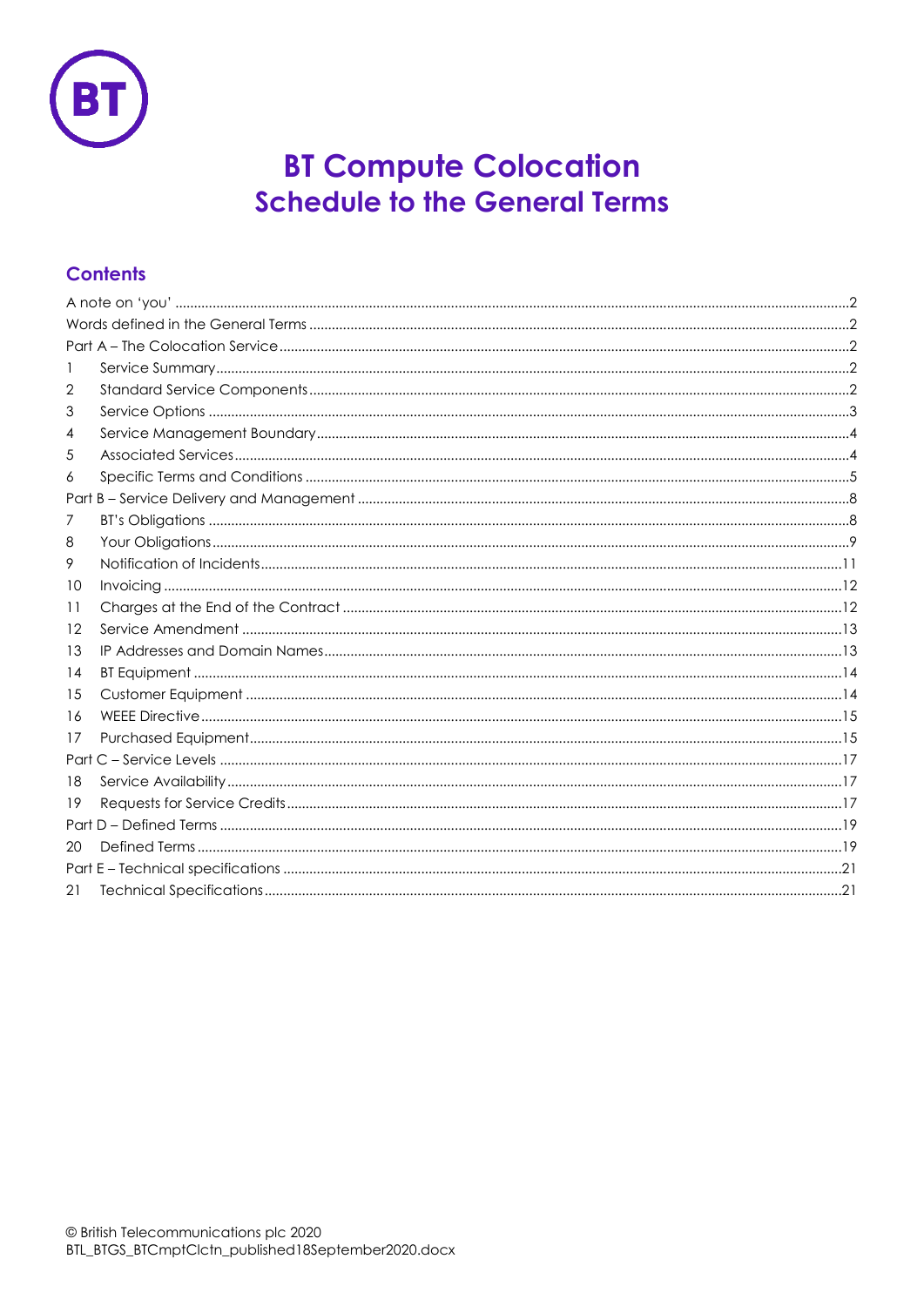

# **BT Compute Colocation Schedule to the General Terms**

## **Contents**

| 1  |  |  |  |  |  |
|----|--|--|--|--|--|
| 2  |  |  |  |  |  |
| 3  |  |  |  |  |  |
| 4  |  |  |  |  |  |
| 5  |  |  |  |  |  |
| 6  |  |  |  |  |  |
|    |  |  |  |  |  |
| 7  |  |  |  |  |  |
| 8  |  |  |  |  |  |
| 9  |  |  |  |  |  |
| 10 |  |  |  |  |  |
| 11 |  |  |  |  |  |
| 12 |  |  |  |  |  |
| 13 |  |  |  |  |  |
| 14 |  |  |  |  |  |
| 15 |  |  |  |  |  |
| 16 |  |  |  |  |  |
| 17 |  |  |  |  |  |
|    |  |  |  |  |  |
| 18 |  |  |  |  |  |
| 19 |  |  |  |  |  |
|    |  |  |  |  |  |
| 20 |  |  |  |  |  |
|    |  |  |  |  |  |
| 21 |  |  |  |  |  |
|    |  |  |  |  |  |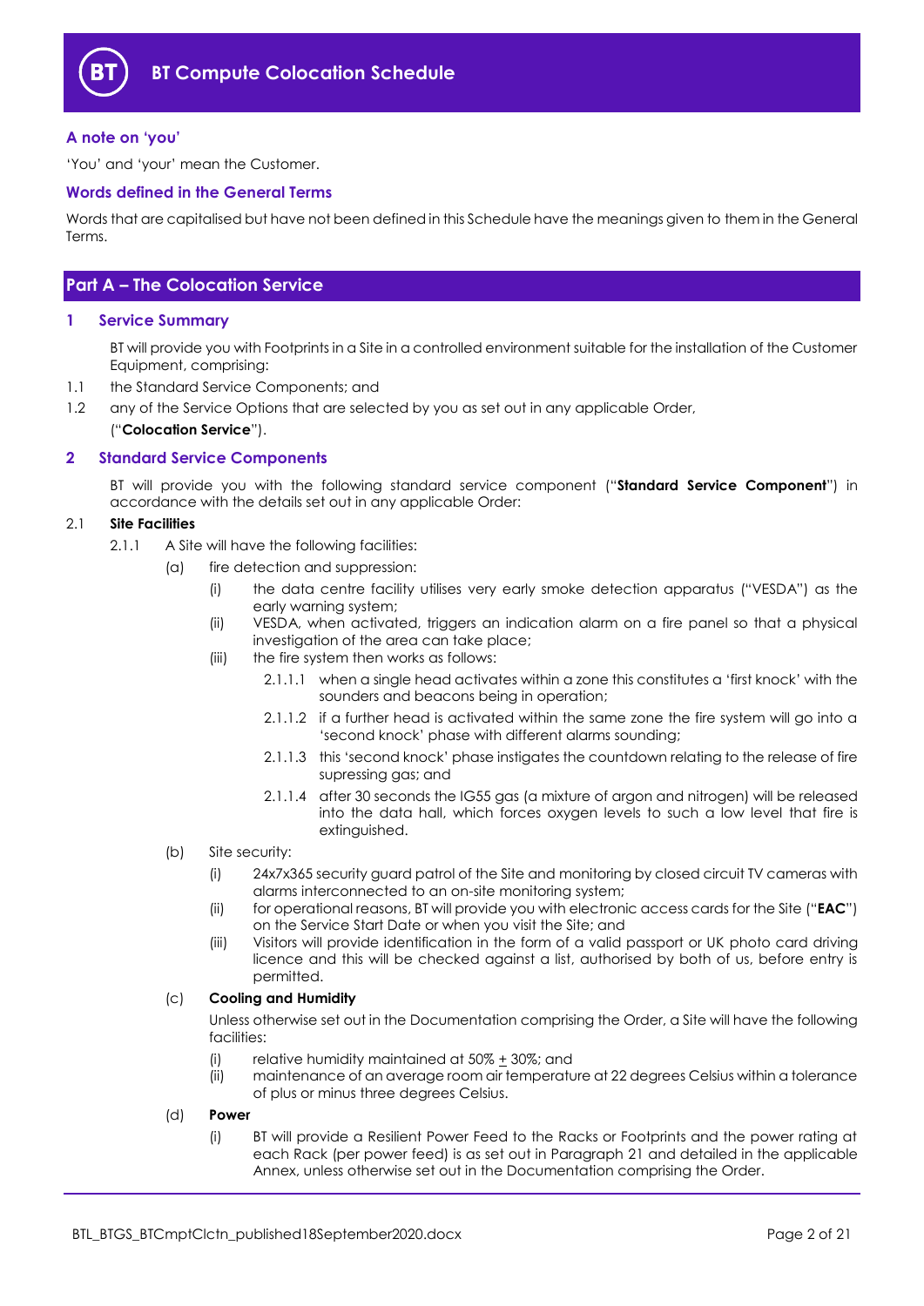

#### <span id="page-1-0"></span>**A note on 'you'**

'You' and 'your' mean the Customer.

#### <span id="page-1-1"></span>**Words defined in the General Terms**

Words that are capitalised but have not been defined in this Schedule have the meanings given to them in the General Terms.

### <span id="page-1-2"></span>**Part A – The Colocation Service**

#### <span id="page-1-3"></span>**1 Service Summary**

BT will provide you with Footprints in a Site in a controlled environment suitable for the installation of the Customer Equipment, comprising:

- 1.1 the Standard Service Components; and
- 1.2 any of the Service Options that are selected by you as set out in any applicable Order, ("**Colocation Service**").

#### <span id="page-1-4"></span>**2 Standard Service Components**

BT will provide you with the following standard service component ("**Standard Service Component**") in accordance with the details set out in any applicable Order:

#### 2.1 **Site Facilities**

- 2.1.1 A Site will have the following facilities:
	- (a) fire detection and suppression:
		- (i) the data centre facility utilises very early smoke detection apparatus ("VESDA") as the early warning system;
		- (ii) VESDA, when activated, triggers an indication alarm on a fire panel so that a physical investigation of the area can take place;
		- (iii) the fire system then works as follows:
			- 2.1.1.1 when a single head activates within a zone this constitutes a 'first knock' with the sounders and beacons being in operation;
			- 2.1.1.2 if a further head is activated within the same zone the fire system will go into a 'second knock' phase with different alarms sounding;
			- 2.1.1.3 this 'second knock' phase instigates the countdown relating to the release of fire supressing gas; and
			- 2.1.1.4 after 30 seconds the IG55 gas (a mixture of argon and nitrogen) will be released into the data hall, which forces oxygen levels to such a low level that fire is extinguished.
	- (b) Site security:
		- (i) 24x7x365 security guard patrol of the Site and monitoring by closed circuit TV cameras with alarms interconnected to an on-site monitoring system;
		- (ii) for operational reasons, BT will provide you with electronic access cards for the Site ("**EAC**") on the Service Start Date or when you visit the Site; and
		- (iii) Visitors will provide identification in the form of a valid passport or UK photo card driving licence and this will be checked against a list, authorised by both of us, before entry is permitted.

#### (c) **Cooling and Humidity**

Unless otherwise set out in the Documentation comprising the Order, a Site will have the following facilities:

- (i) relative humidity maintained at  $50\% \pm 30\%$ ; and
- (ii) maintenance of an average room air temperature at 22 degrees Celsius within a tolerance of plus or minus three degrees Celsius.
- (d) **Power**
	- (i) BT will provide a Resilient Power Feed to the Racks or Footprints and the power rating at each Rack (per power feed) is as set out in Paragraph [21](#page-20-1) and detailed in the applicable Annex, unless otherwise set out in the Documentation comprising the Order.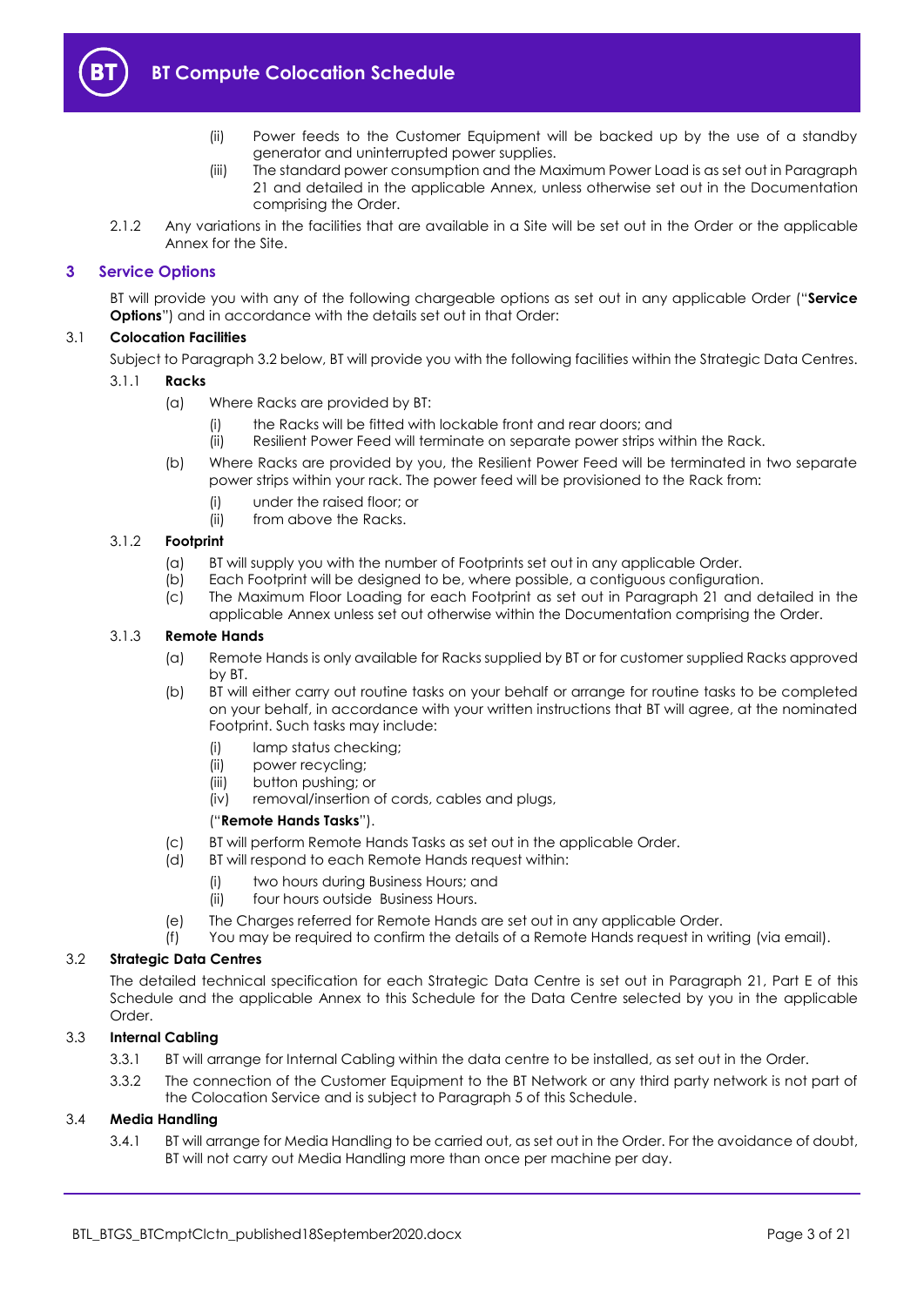

- (ii) Power feeds to the Customer Equipment will be backed up by the use of a standby generator and uninterrupted power supplies.
- (iii) The standard power consumption and the Maximum Power Load is as set out in Paragraph [21](#page-20-1) and detailed in the applicable Annex, unless otherwise set out in the Documentation comprising the Order.
- 2.1.2 Any variations in the facilities that are available in a Site will be set out in the Order or the applicable Annex for the Site.

#### <span id="page-2-0"></span>**3 Service Options**

BT will provide you with any of the following chargeable options as set out in any applicable Order ("**Service Options**") and in accordance with the details set out in that Order:

#### 3.1 **Colocation Facilities**

Subject to Paragraph 3.2 below, BT will provide you with the following facilities within the Strategic Data Centres.

#### 3.1.1 **Racks**

- (a) Where Racks are provided by BT:
	- (i) the Racks will be fitted with lockable front and rear doors; and
	- (ii) Resilient Power Feed will terminate on separate power strips within the Rack.
- (b) Where Racks are provided by you, the Resilient Power Feed will be terminated in two separate power strips within your rack. The power feed will be provisioned to the Rack from:
	- (i) under the raised floor; or
	- (ii) from above the Racks.

#### 3.1.2 **Footprint**

- (a) BT will supply you with the number of Footprints set out in any applicable Order.
- 
- (b) Each Footprint will be designed to be, where possible, a contiguous configuration.<br>(c) The Maximum Floor Loading for each Footprint as set out in Paragraph 21 and d The Maximum Floor Loading for each Footprint as set out in Paragraph [21](#page-20-1) and detailed in the applicable Annex unless set out otherwise within the Documentation comprising the Order.

#### <span id="page-2-1"></span>3.1.3 **Remote Hands**

- (a) Remote Hands is only available for Racks supplied by BT or for customer supplied Racks approved by BT.
- (b) BT will either carry out routine tasks on your behalf or arrange for routine tasks to be completed on your behalf, in accordance with your written instructions that BT will agree, at the nominated Footprint. Such tasks may include:
	- (i) lamp status checking;
	- (ii) power recycling;
	- (iii) button pushing; or
	- (iv) removal/insertion of cords, cables and plugs,

#### ("**Remote Hands Tasks**").

- (c) BT will perform Remote Hands Tasks as set out in the applicable Order.
- (d) BT will respond to each Remote Hands request within:
	- (i) two hours during Business Hours; and
	- (ii) four hours outside Business Hours.
- (e) The Charges referred for Remote Hands are set out in any applicable Order.
- (f) You may be required to confirm the details of a Remote Hands request in writing (via email).

#### 3.2 **Strategic Data Centres**

The detailed technical specification for each Strategic Data Centre is set out in Paragraph 21, Part E of this Schedule and the applicable Annex to this Schedule for the Data Centre selected by you in the applicable Order.

#### 3.3 **Internal Cabling**

- 3.3.1 BT will arrange for Internal Cabling within the data centre to be installed, as set out in the Order.
- 3.3.2 The connection of the Customer Equipment to the BT Network or any third party network is not part of the Colocation Service and is subject to Paragraph 5 of this Schedule.

#### 3.4 **Media Handling**

3.4.1 BT will arrange for Media Handling to be carried out, as set out in the Order. For the avoidance of doubt, BT will not carry out Media Handling more than once per machine per day.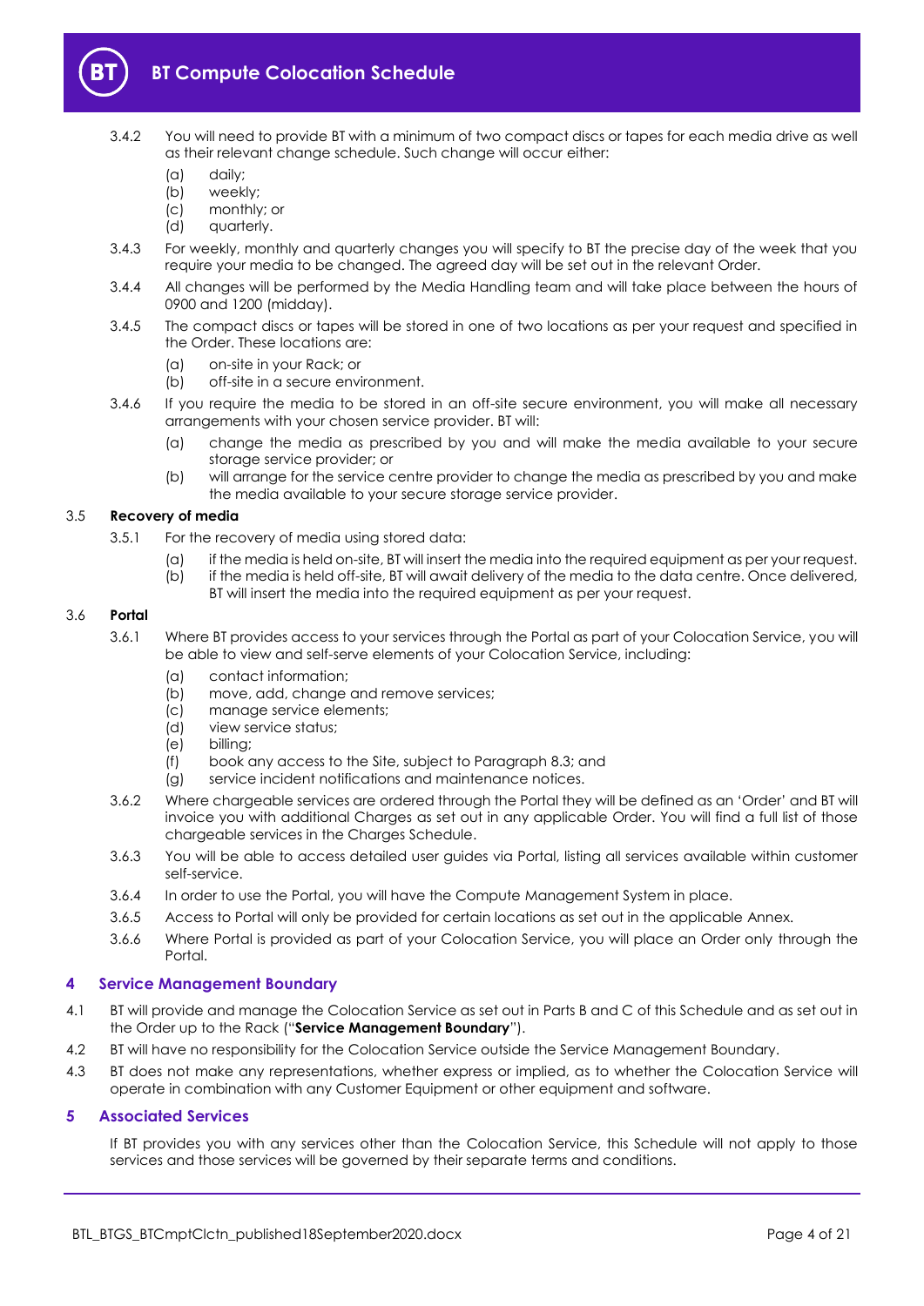

- 3.4.2 You will need to provide BT with a minimum of two compact discs or tapes for each media drive as well as their relevant change schedule. Such change will occur either:
	- (a) daily;
	- (b) weekly;
	- (c) monthly; or
	- (d) quarterly.
- 3.4.3 For weekly, monthly and quarterly changes you will specify to BT the precise day of the week that you require your media to be changed. The agreed day will be set out in the relevant Order.
- 3.4.4 All changes will be performed by the Media Handling team and will take place between the hours of 0900 and 1200 (midday).
- 3.4.5 The compact discs or tapes will be stored in one of two locations as per your request and specified in the Order. These locations are:
	- (a) on-site in your Rack; or
	- (b) off-site in a secure environment.
- 3.4.6 If you require the media to be stored in an off-site secure environment, you will make all necessary arrangements with your chosen service provider. BT will:
	- (a) change the media as prescribed by you and will make the media available to your secure storage service provider; or
	- (b) will arrange for the service centre provider to change the media as prescribed by you and make the media available to your secure storage service provider.

#### 3.5 **Recovery of media**

- 3.5.1 For the recovery of media using stored data:
	- (a) if the media is held on-site, BT will insert the media into the required equipment as per your request.
	- (b) if the media is held off-site, BT will await delivery of the media to the data centre. Once delivered, BT will insert the media into the required equipment as per your request.

#### 3.6 **Portal**

- 3.6.1 Where BT provides access to your services through the Portal as part of your Colocation Service, you will be able to view and self-serve elements of your Colocation Service, including:
	- (a) contact information;
	- (b) move, add, change and remove services;
	- (c) manage service elements;
	- (d) view service status;
	- (e) billing;
	- (f) book any access to the Site, subject to Paragraph [8.3;](#page-10-1) and
	- (g) service incident notifications and maintenance notices.
- 3.6.2 Where chargeable services are ordered through the Portal they will be defined as an 'Order' and BT will invoice you with additional Charges as set out in any applicable Order. You will find a full list of those chargeable services in the Charges Schedule.
- 3.6.3 You will be able to access detailed user guides via Portal, listing all services available within customer self-service.
- 3.6.4 In order to use the Portal, you will have the Compute Management System in place.
- 3.6.5 Access to Portal will only be provided for certain locations as set out in the applicable Annex.
- 3.6.6 Where Portal is provided as part of your Colocation Service, you will place an Order only through the Portal.

#### <span id="page-3-0"></span>**4 Service Management Boundary**

- <span id="page-3-2"></span>4.1 BT will provide and manage the Colocation Service as set out in Parts B and C of this Schedule and as set out in the Order up to the Rack ("**Service Management Boundary**").
- 4.2 BT will have no responsibility for the Colocation Service outside the Service Management Boundary.
- 4.3 BT does not make any representations, whether express or implied, as to whether the Colocation Service will operate in combination with any Customer Equipment or other equipment and software.

#### <span id="page-3-1"></span>**5 Associated Services**

If BT provides you with any services other than the Colocation Service, this Schedule will not apply to those services and those services will be governed by their separate terms and conditions.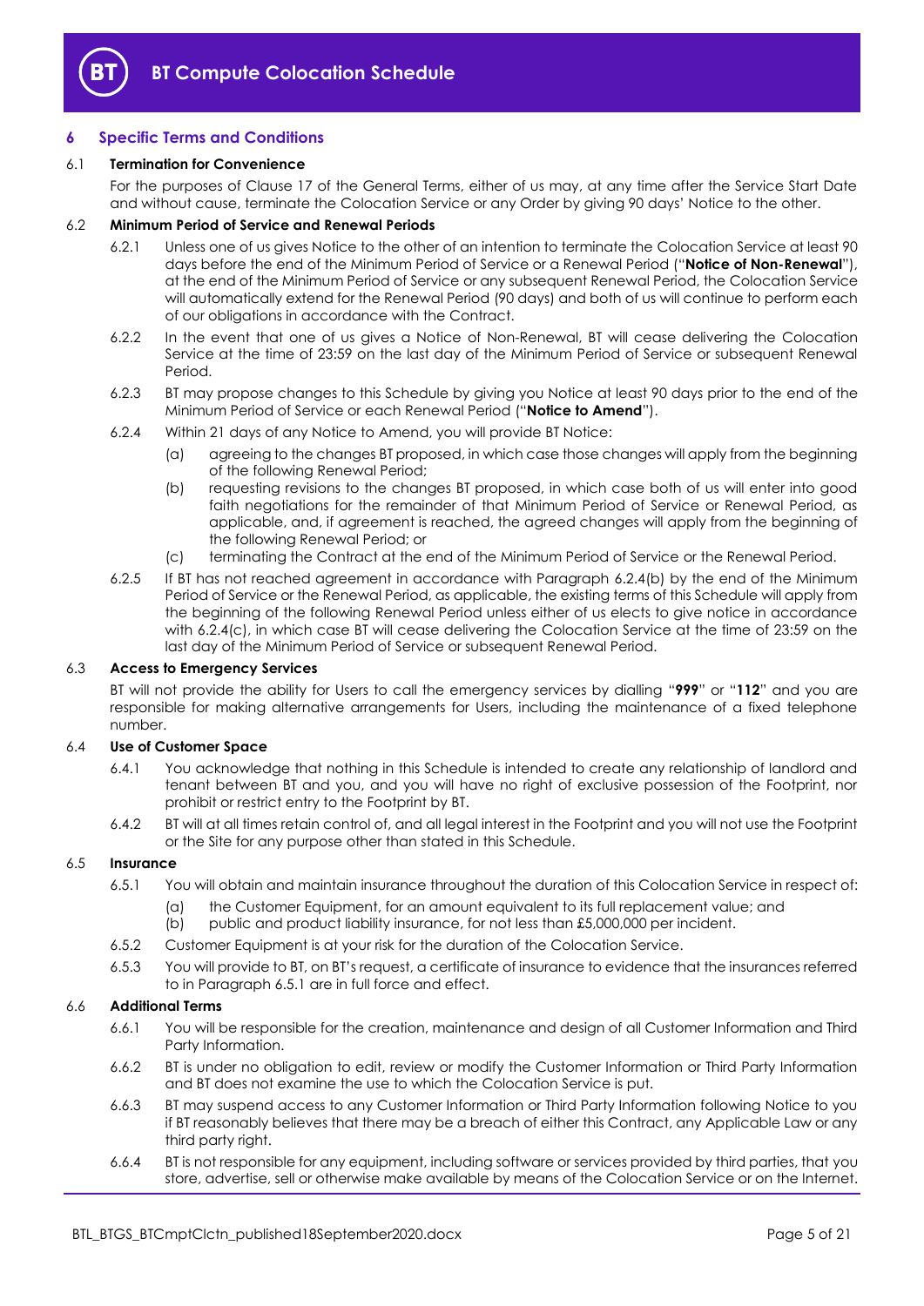

#### <span id="page-4-0"></span>**6 Specific Terms and Conditions**

#### 6.1 **Termination for Convenience**

For the purposes of Clause 17 of the General Terms, either of us may, at any time after the Service Start Date and without cause, terminate the Colocation Service or any Order by giving 90 days' Notice to the other.

#### <span id="page-4-5"></span>6.2 **Minimum Period of Service and Renewal Periods**

- 6.2.1 Unless one of us gives Notice to the other of an intention to terminate the Colocation Service at least 90 days before the end of the Minimum Period of Service or a Renewal Period ("**Notice of Non-Renewal**"), at the end of the Minimum Period of Service or any subsequent Renewal Period, the Colocation Service will automatically extend for the Renewal Period (90 days) and both of us will continue to perform each of our obligations in accordance with the Contract.
- 6.2.2 In the event that one of us gives a Notice of Non-Renewal, BT will cease delivering the Colocation Service at the time of 23:59 on the last day of the Minimum Period of Service or subsequent Renewal Period.
- <span id="page-4-3"></span>6.2.3 BT may propose changes to this Schedule by giving you Notice at least 90 days prior to the end of the Minimum Period of Service or each Renewal Period ("**Notice to Amend**").
- <span id="page-4-4"></span><span id="page-4-1"></span>6.2.4 Within 21 days of any Notice to Amend, you will provide BT Notice:
	- (a) agreeing to the changes BT proposed, in which case those changes will apply from the beginning of the following Renewal Period;
	- (b) requesting revisions to the changes BT proposed, in which case both of us will enter into good faith negotiations for the remainder of that Minimum Period of Service or Renewal Period, as applicable, and, if agreement is reached, the agreed changes will apply from the beginning of the following Renewal Period; or
	- (c) terminating the Contract at the end of the Minimum Period of Service or the Renewal Period.
- 6.2.5 If BT has not reached agreement in accordance with Paragraph [6.2.4\(b\)](#page-4-1) by the end of the Minimum Period of Service or the Renewal Period, as applicable, the existing terms of this Schedule will apply from the beginning of the following Renewal Period unless either of us elects to give notice in accordance with 6.2.4(c), in which case BT will cease delivering the Colocation Service at the time of 23:59 on the last day of the Minimum Period of Service or subsequent Renewal Period.

#### 6.3 **Access to Emergency Services**

BT will not provide the ability for Users to call the emergency services by dialling "**999**" or "**112**" and you are responsible for making alternative arrangements for Users, including the maintenance of a fixed telephone number.

#### 6.4 **Use of Customer Space**

- 6.4.1 You acknowledge that nothing in this Schedule is intended to create any relationship of landlord and tenant between BT and you, and you will have no right of exclusive possession of the Footprint, nor prohibit or restrict entry to the Footprint by BT.
- 6.4.2 BT will at all times retain control of, and all legal interest in the Footprint and you will not use the Footprint or the Site for any purpose other than stated in this Schedule.

#### <span id="page-4-2"></span>6.5 **Insurance**

- 6.5.1 You will obtain and maintain insurance throughout the duration of this Colocation Service in respect of:
	- (a) the Customer Equipment, for an amount equivalent to its full replacement value; and
	- (b) public and product liability insurance, for not less than £5,000,000 per incident.
- 6.5.2 Customer Equipment is at your risk for the duration of the Colocation Service.
- 6.5.3 You will provide to BT, on BT's request, a certificate of insurance to evidence that the insurances referred to in Paragraph [6.5.1](#page-4-2) are in full force and effect.

#### 6.6 **Additional Terms**

- 6.6.1 You will be responsible for the creation, maintenance and design of all Customer Information and Third Party Information.
- 6.6.2 BT is under no obligation to edit, review or modify the Customer Information or Third Party Information and BT does not examine the use to which the Colocation Service is put.
- 6.6.3 BT may suspend access to any Customer Information or Third Party Information following Notice to you if BT reasonably believes that there may be a breach of either this Contract, any Applicable Law or any third party right.
- 6.6.4 BT is not responsible for any equipment, including software or services provided by third parties, that you store, advertise, sell or otherwise make available by means of the Colocation Service or on the Internet.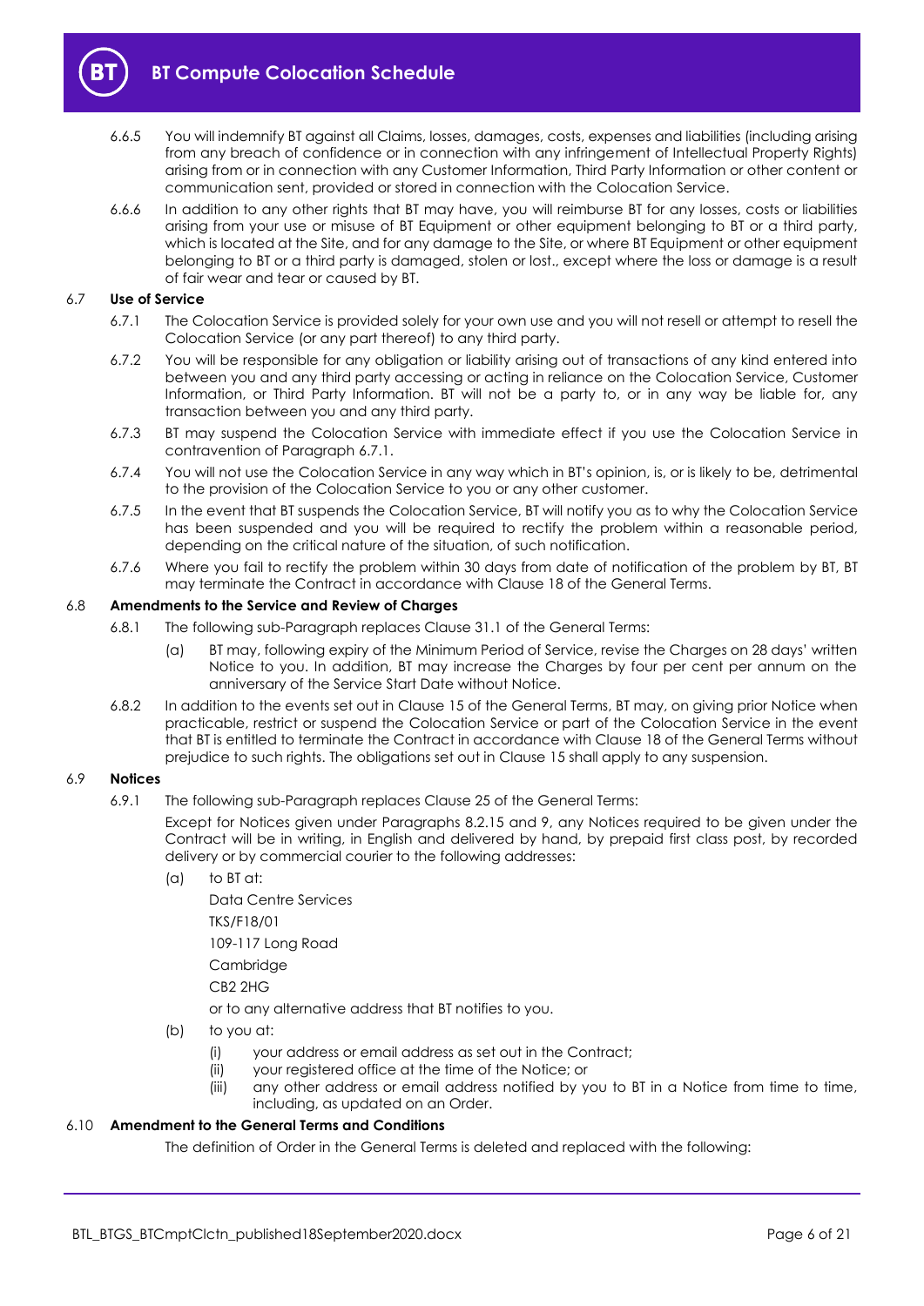

- 6.6.5 You will indemnify BT against all Claims, losses, damages, costs, expenses and liabilities (including arising from any breach of confidence or in connection with any infringement of Intellectual Property Rights) arising from or in connection with any Customer Information, Third Party Information or other content or communication sent, provided or stored in connection with the Colocation Service.
- 6.6.6 In addition to any other rights that BT may have, you will reimburse BT for any losses, costs or liabilities arising from your use or misuse of BT Equipment or other equipment belonging to BT or a third party, which is located at the Site, and for any damage to the Site, or where BT Equipment or other equipment belonging to BT or a third party is damaged, stolen or lost., except where the loss or damage is a result of fair wear and tear or caused by BT.

#### <span id="page-5-1"></span><span id="page-5-0"></span>6.7 **Use of Service**

- 6.7.1 The Colocation Service is provided solely for your own use and you will not resell or attempt to resell the Colocation Service (or any part thereof) to any third party.
- 6.7.2 You will be responsible for any obligation or liability arising out of transactions of any kind entered into between you and any third party accessing or acting in reliance on the Colocation Service, Customer Information, or Third Party Information. BT will not be a party to, or in any way be liable for, any transaction between you and any third party.
- 6.7.3 BT may suspend the Colocation Service with immediate effect if you use the Colocation Service in contravention of Paragraph [6.7.1.](#page-5-0)
- 6.7.4 You will not use the Colocation Service in any way which in BT's opinion, is, or is likely to be, detrimental to the provision of the Colocation Service to you or any other customer.
- 6.7.5 In the event that BT suspends the Colocation Service, BT will notify you as to why the Colocation Service has been suspended and you will be required to rectify the problem within a reasonable period, depending on the critical nature of the situation, of such notification.
- 6.7.6 Where you fail to rectify the problem within 30 days from date of notification of the problem by BT, BT may terminate the Contract in accordance with Clause 18 of the General Terms.

#### 6.8 **Amendments to the Service and Review of Charges**

- 6.8.1 The following sub-Paragraph replaces Clause 31.1 of the General Terms:
	- (a) BT may, following expiry of the Minimum Period of Service, revise the Charges on 28 days' written Notice to you. In addition, BT may increase the Charges by four per cent per annum on the anniversary of the Service Start Date without Notice.
- 6.8.2 In addition to the events set out in Clause 15 of the General Terms, BT may, on giving prior Notice when practicable, restrict or suspend the Colocation Service or part of the Colocation Service in the event that BT is entitled to terminate the Contract in accordance with Clause 18 of the General Terms without prejudice to such rights. The obligations set out in Clause 15 shall apply to any suspension.

#### 6.9 **Notices**

6.9.1 The following sub-Paragraph replaces Clause 25 of the General Terms:

Except for Notices given under Paragraphs 8.2.15 and 9, any Notices required to be given under the Contract will be in writing, in English and delivered by hand, by prepaid first class post, by recorded delivery or by commercial courier to the following addresses:

(a) to BT at:

Data Centre Services TKS/F18/01 109-117 Long Road **Cambridge** 

CB2 2HG

or to any alternative address that BT notifies to you.

- (b) to you at:
	- (i) your address or email address as set out in the Contract;
	- (ii) your registered office at the time of the Notice; or
	- (iii) any other address or email address notified by you to BT in a Notice from time to time, including, as updated on an Order.

#### 6.10 **Amendment to the General Terms and Conditions**

The definition of Order in the General Terms is deleted and replaced with the following: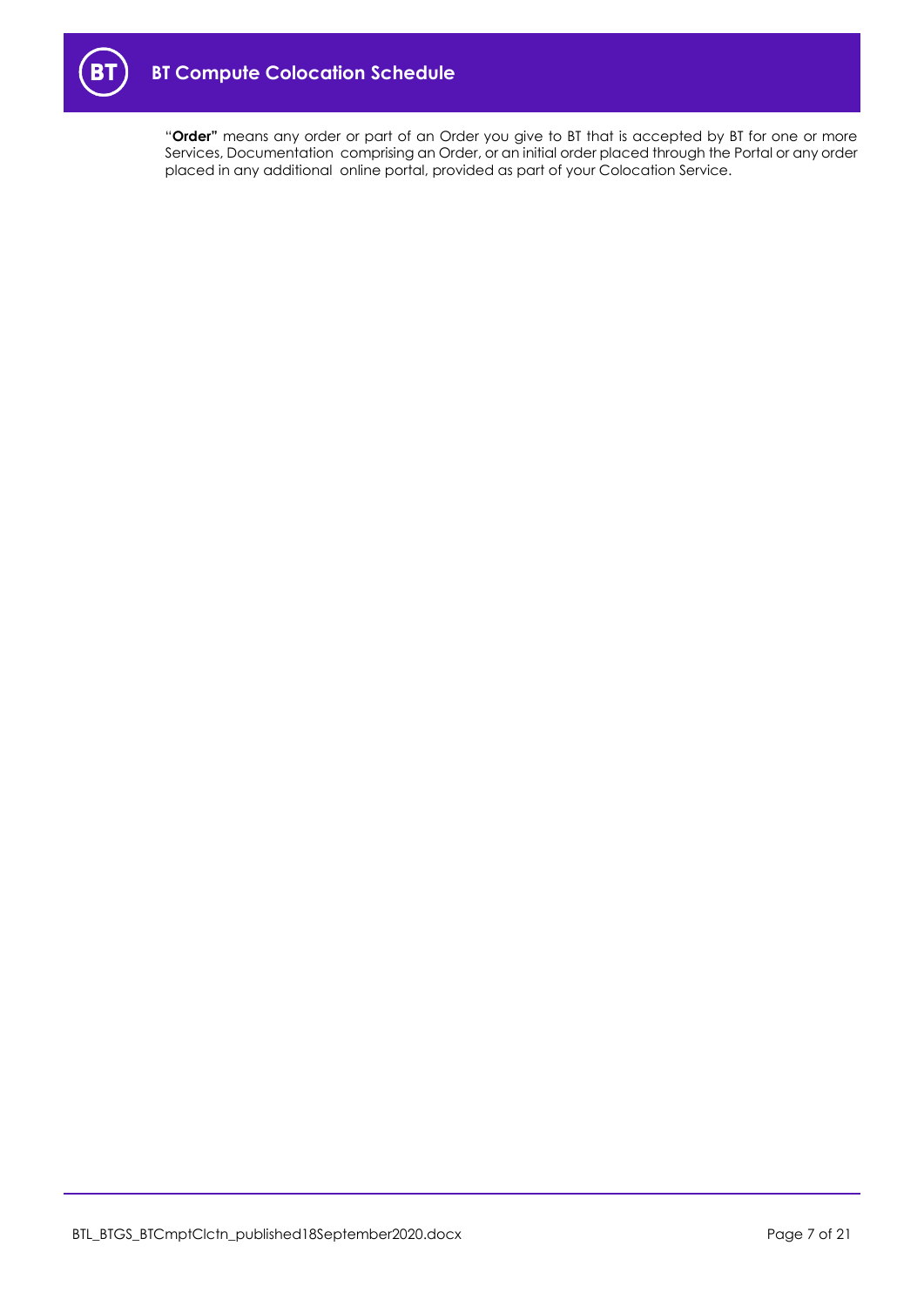

"**Order"** means any order or part of an Order you give to BT that is accepted by BT for one or more Services, Documentation comprising an Order, or an initial order placed through the Portal or any order placed in any additional online portal, provided as part of your Colocation Service.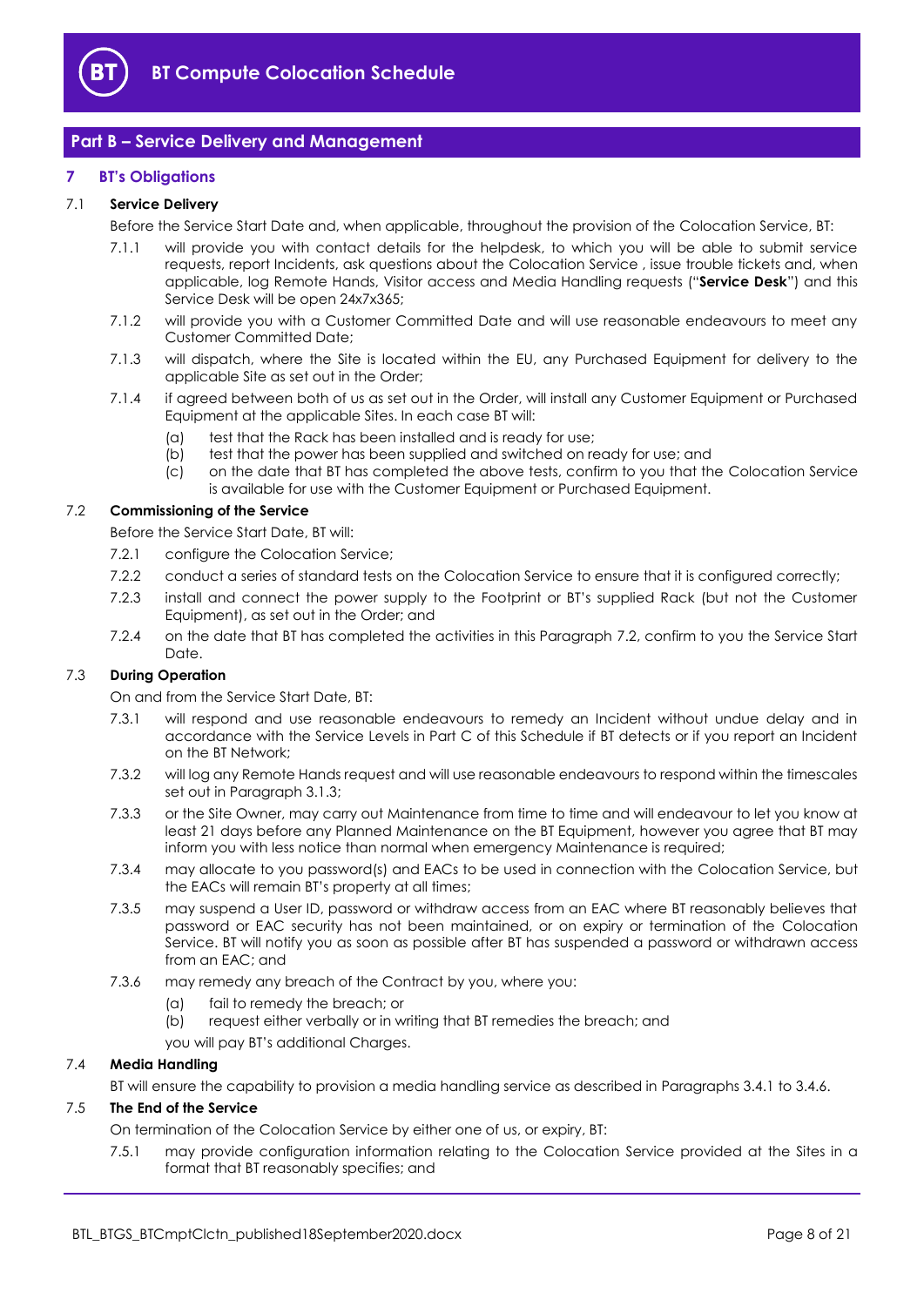

## <span id="page-7-0"></span>**Part B – Service Delivery and Management**

#### <span id="page-7-1"></span>**7 BT's Obligations**

#### <span id="page-7-6"></span>7.1 **Service Delivery**

Before the Service Start Date and, when applicable, throughout the provision of the Colocation Service, BT:

- 7.1.1 will provide you with contact details for the helpdesk, to which you will be able to submit service requests, report Incidents, ask questions about the Colocation Service , issue trouble tickets and, when applicable, log Remote Hands, Visitor access and Media Handling requests ("**Service Desk**") and this Service Desk will be open 24x7x365;
- 7.1.2 will provide you with a Customer Committed Date and will use reasonable endeavours to meet any Customer Committed Date;
- 7.1.3 will dispatch, where the Site is located within the EU, any Purchased Equipment for delivery to the applicable Site as set out in the Order;
- <span id="page-7-5"></span>7.1.4 if agreed between both of us as set out in the Order, will install any Customer Equipment or Purchased Equipment at the applicable Sites. In each case BT will:
	- (a) test that the Rack has been installed and is ready for use;
	- (b) test that the power has been supplied and switched on ready for use; and
	- (c) on the date that BT has completed the above tests, confirm to you that the Colocation Service is available for use with the Customer Equipment or Purchased Equipment.

#### <span id="page-7-2"></span>7.2 **Commissioning of the Service**

Before the Service Start Date, BT will:

- 7.2.1 configure the Colocation Service;
- 7.2.2 conduct a series of standard tests on the Colocation Service to ensure that it is configured correctly;
- 7.2.3 install and connect the power supply to the Footprint or BT's supplied Rack (but not the Customer Equipment), as set out in the Order; and
- 7.2.4 on the date that BT has completed the activities in this Paragraph [7.2,](#page-7-2) confirm to you the Service Start Date.

#### 7.3 **During Operation**

On and from the Service Start Date, BT:

- 7.3.1 will respond and use reasonable endeavours to remedy an Incident without undue delay and in accordance with the Service Levels in Part C of this Schedule if BT detects or if you report an Incident on the BT Network;
- 7.3.2 will log any Remote Hands request and will use reasonable endeavours to respond within the timescales set out in Paragraph [3.1.3;](#page-2-1)
- 7.3.3 or the Site Owner, may carry out Maintenance from time to time and will endeavour to let you know at least 21 days before any Planned Maintenance on the BT Equipment, however you agree that BT may inform you with less notice than normal when emergency Maintenance is required;
- 7.3.4 may allocate to you password(s) and EACs to be used in connection with the Colocation Service, but the EACs will remain BT's property at all times;
- 7.3.5 may suspend a User ID, password or withdraw access from an EAC where BT reasonably believes that password or EAC security has not been maintained, or on expiry or termination of the Colocation Service. BT will notify you as soon as possible after BT has suspended a password or withdrawn access from an EAC; and
- <span id="page-7-3"></span>7.3.6 may remedy any breach of the Contract by you, where you:
	- (a) fail to remedy the breach; or
	- (b) request either verbally or in writing that BT remedies the breach; and
	- you will pay BT's additional Charges.

#### <span id="page-7-4"></span>7.4 **Media Handling**

BT will ensure the capability to provision a media handling service as described in Paragraphs 3.4.1 to 3.4.6.

#### 7.5 **The End of the Service**

On termination of the Colocation Service by either one of us, or expiry, BT:

7.5.1 may provide configuration information relating to the Colocation Service provided at the Sites in a format that BT reasonably specifies; and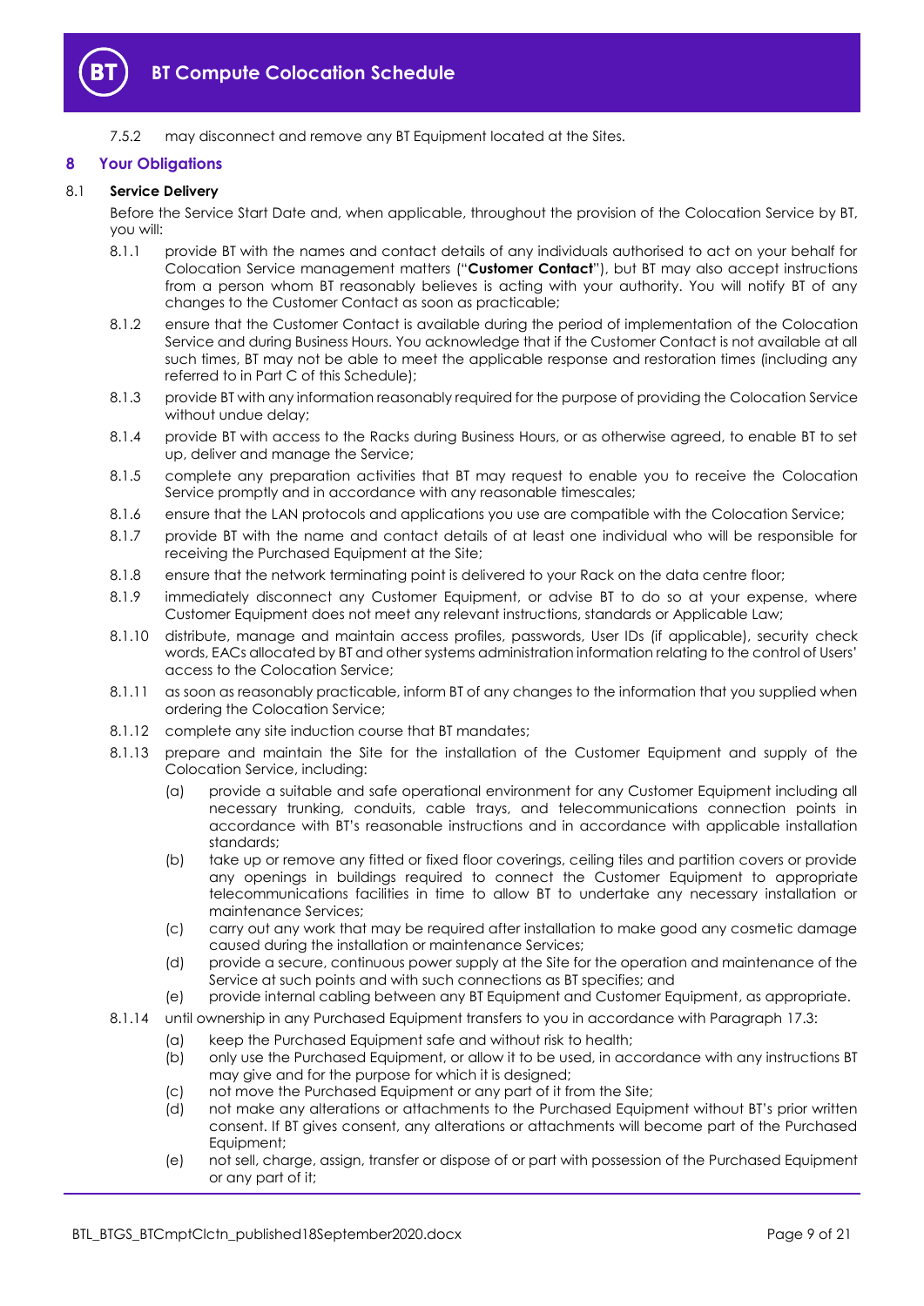

7.5.2 may disconnect and remove any BT Equipment located at the Sites.

#### <span id="page-8-0"></span>**8 Your Obligations**

#### 8.1 **Service Delivery**

Before the Service Start Date and, when applicable, throughout the provision of the Colocation Service by BT, you will:

- <span id="page-8-1"></span>8.1.1 provide BT with the names and contact details of any individuals authorised to act on your behalf for Colocation Service management matters ("**Customer Contact**"), but BT may also accept instructions from a person whom BT reasonably believes is acting with your authority. You will notify BT of any changes to the Customer Contact as soon as practicable;
- 8.1.2 ensure that the Customer Contact is available during the period of implementation of the Colocation Service and during Business Hours. You acknowledge that if the Customer Contact is not available at all such times, BT may not be able to meet the applicable response and restoration times (including any referred to in Part C of this Schedule);
- 8.1.3 provide BT with any information reasonably required for the purpose of providing the Colocation Service without undue delay;
- 8.1.4 provide BT with access to the Racks during Business Hours, or as otherwise agreed, to enable BT to set up, deliver and manage the Service;
- 8.1.5 complete any preparation activities that BT may request to enable you to receive the Colocation Service promptly and in accordance with any reasonable timescales;
- 8.1.6 ensure that the LAN protocols and applications you use are compatible with the Colocation Service;
- 8.1.7 provide BT with the name and contact details of at least one individual who will be responsible for receiving the Purchased Equipment at the Site;
- 8.1.8 ensure that the network terminating point is delivered to your Rack on the data centre floor;
- 8.1.9 immediately disconnect any Customer Equipment, or advise BT to do so at your expense, where Customer Equipment does not meet any relevant instructions, standards or Applicable Law;
- 8.1.10 distribute, manage and maintain access profiles, passwords, User IDs (if applicable), security check words, EACs allocated by BT and other systems administration information relating to the control of Users' access to the Colocation Service;
- 8.1.11 as soon as reasonably practicable, inform BT of any changes to the information that you supplied when ordering the Colocation Service;
- 8.1.12 complete any site induction course that BT mandates;
- 8.1.13 prepare and maintain the Site for the installation of the Customer Equipment and supply of the Colocation Service, including:
	- (a) provide a suitable and safe operational environment for any Customer Equipment including all necessary trunking, conduits, cable trays, and telecommunications connection points in accordance with BT's reasonable instructions and in accordance with applicable installation standards;
	- (b) take up or remove any fitted or fixed floor coverings, ceiling tiles and partition covers or provide any openings in buildings required to connect the Customer Equipment to appropriate telecommunications facilities in time to allow BT to undertake any necessary installation or maintenance Services;
	- (c) carry out any work that may be required after installation to make good any cosmetic damage caused during the installation or maintenance Services;
	- (d) provide a secure, continuous power supply at the Site for the operation and maintenance of the Service at such points and with such connections as BT specifies; and
	- (e) provide internal cabling between any BT Equipment and Customer Equipment, as appropriate.
- 8.1.14 until ownership in any Purchased Equipment transfers to you in accordance with Paragraph [17.3:](#page-15-0)
	- (a) keep the Purchased Equipment safe and without risk to health;
	- (b) only use the Purchased Equipment, or allow it to be used, in accordance with any instructions BT may give and for the purpose for which it is designed;
	- (c) not move the Purchased Equipment or any part of it from the Site;
	- (d) not make any alterations or attachments to the Purchased Equipment without BT's prior written consent. If BT gives consent, any alterations or attachments will become part of the Purchased Equipment;
	- (e) not sell, charge, assign, transfer or dispose of or part with possession of the Purchased Equipment or any part of it;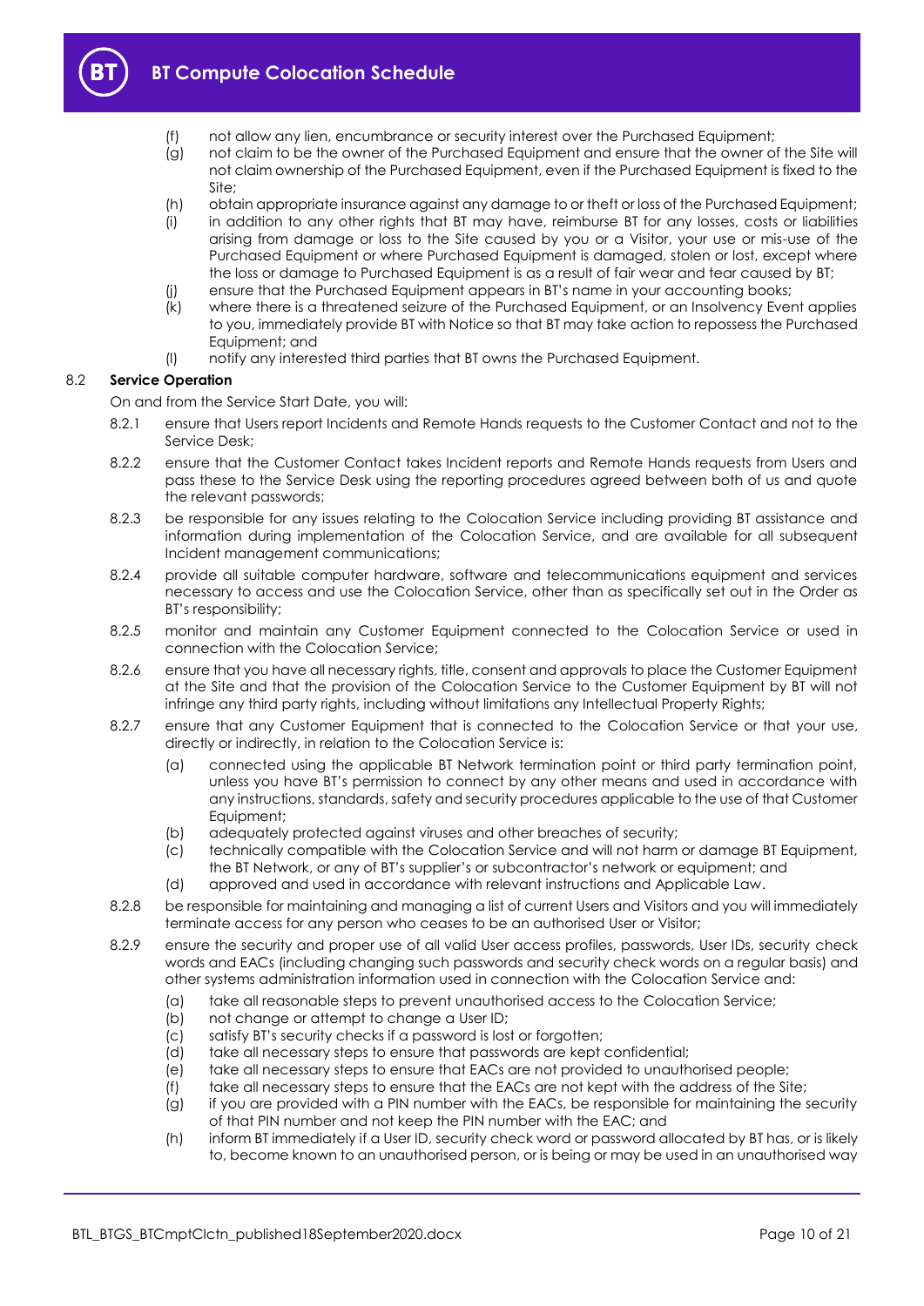

- (f) not allow any lien, encumbrance or security interest over the Purchased Equipment;
- (g) not claim to be the owner of the Purchased Equipment and ensure that the owner of the Site will not claim ownership of the Purchased Equipment, even if the Purchased Equipment is fixed to the Site;
- (h) obtain appropriate insurance against any damage to or theft or loss of the Purchased Equipment;
- (i) in addition to any other rights that BT may have, reimburse BT for any losses, costs or liabilities arising from damage or loss to the Site caused by you or a Visitor, your use or mis-use of the Purchased Equipment or where Purchased Equipment is damaged, stolen or lost, except where the loss or damage to Purchased Equipment is as a result of fair wear and tear caused by BT;
- (j) ensure that the Purchased Equipment appears in BT's name in your accounting books;
- (k) where there is a threatened seizure of the Purchased Equipment, or an Insolvency Event applies to you, immediately provide BT with Notice so that BT may take action to repossess the Purchased Equipment; and
- (l) notify any interested third parties that BT owns the Purchased Equipment.

#### 8.2 **Service Operation**

On and from the Service Start Date, you will:

- 8.2.1 ensure that Users report Incidents and Remote Hands requests to the Customer Contact and not to the Service Desk;
- 8.2.2 ensure that the Customer Contact takes Incident reports and Remote Hands requests from Users and pass these to the Service Desk using the reporting procedures agreed between both of us and quote the relevant passwords;
- 8.2.3 be responsible for any issues relating to the Colocation Service including providing BT assistance and information during implementation of the Colocation Service, and are available for all subsequent Incident management communications;
- 8.2.4 provide all suitable computer hardware, software and telecommunications equipment and services necessary to access and use the Colocation Service, other than as specifically set out in the Order as BT's responsibility;
- 8.2.5 monitor and maintain any Customer Equipment connected to the Colocation Service or used in connection with the Colocation Service;
- 8.2.6 ensure that you have all necessary rights, title, consent and approvals to place the Customer Equipment at the Site and that the provision of the Colocation Service to the Customer Equipment by BT will not infringe any third party rights, including without limitations any Intellectual Property Rights;
- 8.2.7 ensure that any Customer Equipment that is connected to the Colocation Service or that your use, directly or indirectly, in relation to the Colocation Service is:
	- (a) connected using the applicable BT Network termination point or third party termination point, unless you have BT's permission to connect by any other means and used in accordance with any instructions, standards, safety and security procedures applicable to the use of that Customer Equipment;
	- (b) adequately protected against viruses and other breaches of security;
	- (c) technically compatible with the Colocation Service and will not harm or damage BT Equipment, the BT Network, or any of BT's supplier's or subcontractor's network or equipment; and
	- (d) approved and used in accordance with relevant instructions and Applicable Law.
- 8.2.8 be responsible for maintaining and managing a list of current Users and Visitors and you will immediately terminate access for any person who ceases to be an authorised User or Visitor;
- 8.2.9 ensure the security and proper use of all valid User access profiles, passwords, User IDs, security check words and EACs (including changing such passwords and security check words on a regular basis) and other systems administration information used in connection with the Colocation Service and:
	- (a) take all reasonable steps to prevent unauthorised access to the Colocation Service;
	- (b) not change or attempt to change a User ID;
	- (c) satisfy BT's security checks if a password is lost or forgotten;
	- (d) take all necessary steps to ensure that passwords are kept confidential;
	- (e) take all necessary steps to ensure that EACs are not provided to unauthorised people;
	- (f) take all necessary steps to ensure that the EACs are not kept with the address of the Site;
	- (g) if you are provided with a PIN number with the EACs, be responsible for maintaining the security of that PIN number and not keep the PIN number with the EAC; and
	- (h) inform BT immediately if a User ID, security check word or password allocated by BT has, or is likely to, become known to an unauthorised person, or is being or may be used in an unauthorised way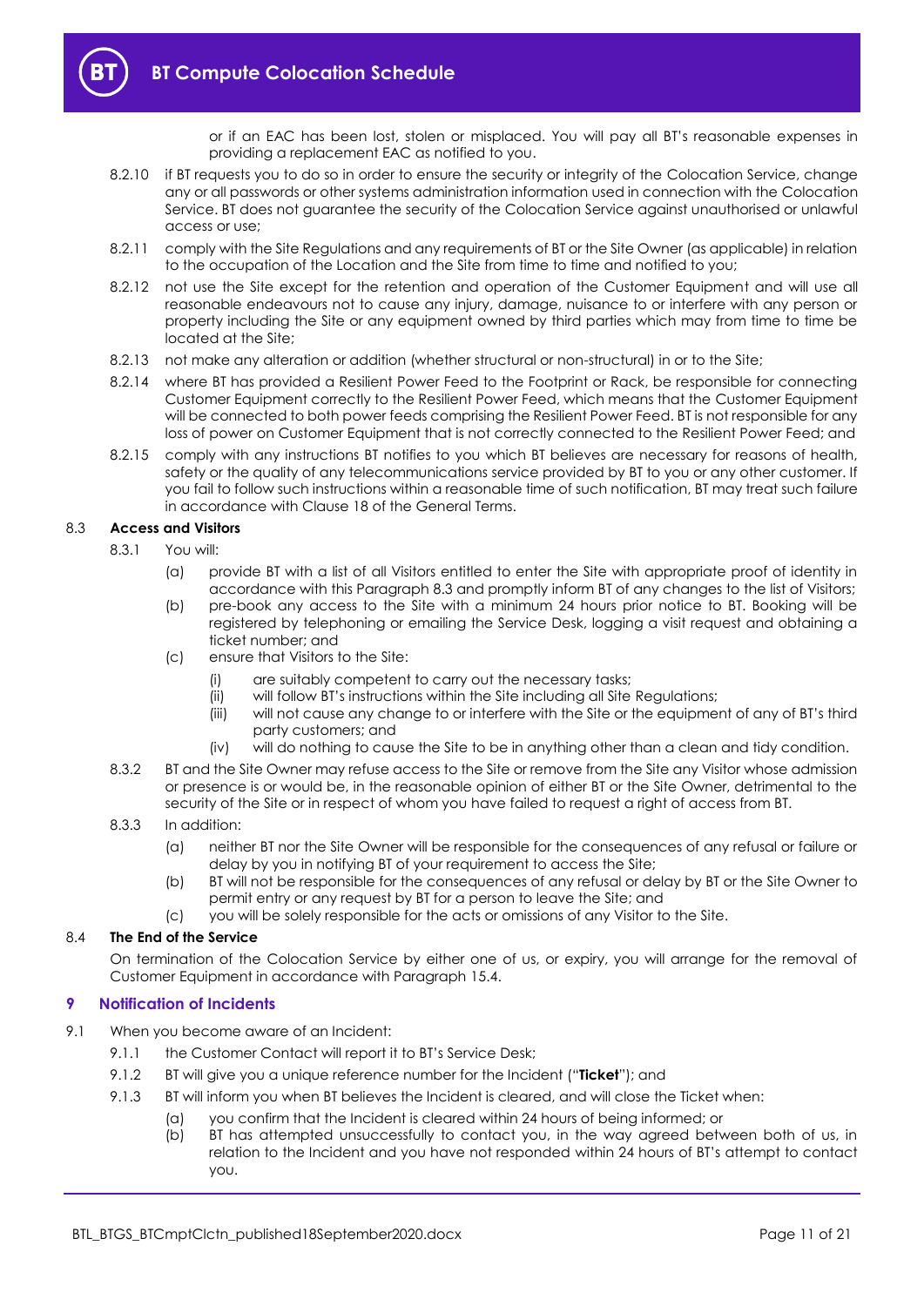or if an EAC has been lost, stolen or misplaced. You will pay all BT's reasonable expenses in providing a replacement EAC as notified to you.

- 8.2.10 if BT requests you to do so in order to ensure the security or integrity of the Colocation Service, change any or all passwords or other systems administration information used in connection with the Colocation Service. BT does not guarantee the security of the Colocation Service against unauthorised or unlawful access or use;
- 8.2.11 comply with the Site Regulations and any requirements of BT or the Site Owner (as applicable) in relation to the occupation of the Location and the Site from time to time and notified to you;
- 8.2.12 not use the Site except for the retention and operation of the Customer Equipment and will use all reasonable endeavours not to cause any injury, damage, nuisance to or interfere with any person or property including the Site or any equipment owned by third parties which may from time to time be located at the Site;
- <span id="page-10-4"></span>8.2.13 not make any alteration or addition (whether structural or non-structural) in or to the Site;
- 8.2.14 where BT has provided a Resilient Power Feed to the Footprint or Rack, be responsible for connecting Customer Equipment correctly to the Resilient Power Feed, which means that the Customer Equipment will be connected to both power feeds comprising the Resilient Power Feed. BT is not responsible for any loss of power on Customer Equipment that is not correctly connected to the Resilient Power Feed; and
- 8.2.15 comply with any instructions BT notifies to you which BT believes are necessary for reasons of health, safety or the quality of any telecommunications service provided by BT to you or any other customer. If you fail to follow such instructions within a reasonable time of such notification, BT may treat such failure in accordance with Clause 18 of the General Terms.

#### <span id="page-10-1"></span>8.3 **Access and Visitors**

- 8.3.1 You will:
	- (a) provide BT with a list of all Visitors entitled to enter the Site with appropriate proof of identity in accordance with this Paragraph [8.3](#page-10-1) and promptly inform BT of any changes to the list of Visitors;
	- (b) pre-book any access to the Site with a minimum 24 hours prior notice to BT. Booking will be registered by telephoning or emailing the Service Desk, logging a visit request and obtaining a ticket number; and
	- (c) ensure that Visitors to the Site:
		- (i) are suitably competent to carry out the necessary tasks;
		- (ii) will follow BT's instructions within the Site including all Site Regulations;
		- (iii) will not cause any change to or interfere with the Site or the equipment of any of BT's third party customers; and
		- (iv) will do nothing to cause the Site to be in anything other than a clean and tidy condition.
- 8.3.2 BT and the Site Owner may refuse access to the Site or remove from the Site any Visitor whose admission or presence is or would be, in the reasonable opinion of either BT or the Site Owner, detrimental to the security of the Site or in respect of whom you have failed to request a right of access from BT.

#### 8.3.3 In addition:

- (a) neither BT nor the Site Owner will be responsible for the consequences of any refusal or failure or delay by you in notifying BT of your requirement to access the Site;
- (b) BT will not be responsible for the consequences of any refusal or delay by BT or the Site Owner to permit entry or any request by BT for a person to leave the Site; and
- (c) you will be solely responsible for the acts or omissions of any Visitor to the Site.

#### 8.4 **The End of the Service**

On termination of the Colocation Service by either one of us, or expiry, you will arrange for the removal of Customer Equipment in accordance with Paragraph [15.4.](#page-14-2)

#### <span id="page-10-0"></span>**9 Notification of Incidents**

- <span id="page-10-3"></span><span id="page-10-2"></span>9.1 When you become aware of an Incident:
	- 9.1.1 the Customer Contact will report it to BT's Service Desk;
	- 9.1.2 BT will give you a unique reference number for the Incident ("**Ticket**"); and
	- 9.1.3 BT will inform you when BT believes the Incident is cleared, and will close the Ticket when:
		- (a) you confirm that the Incident is cleared within 24 hours of being informed; or
		- (b) BT has attempted unsuccessfully to contact you, in the way agreed between both of us, in relation to the Incident and you have not responded within 24 hours of BT's attempt to contact you.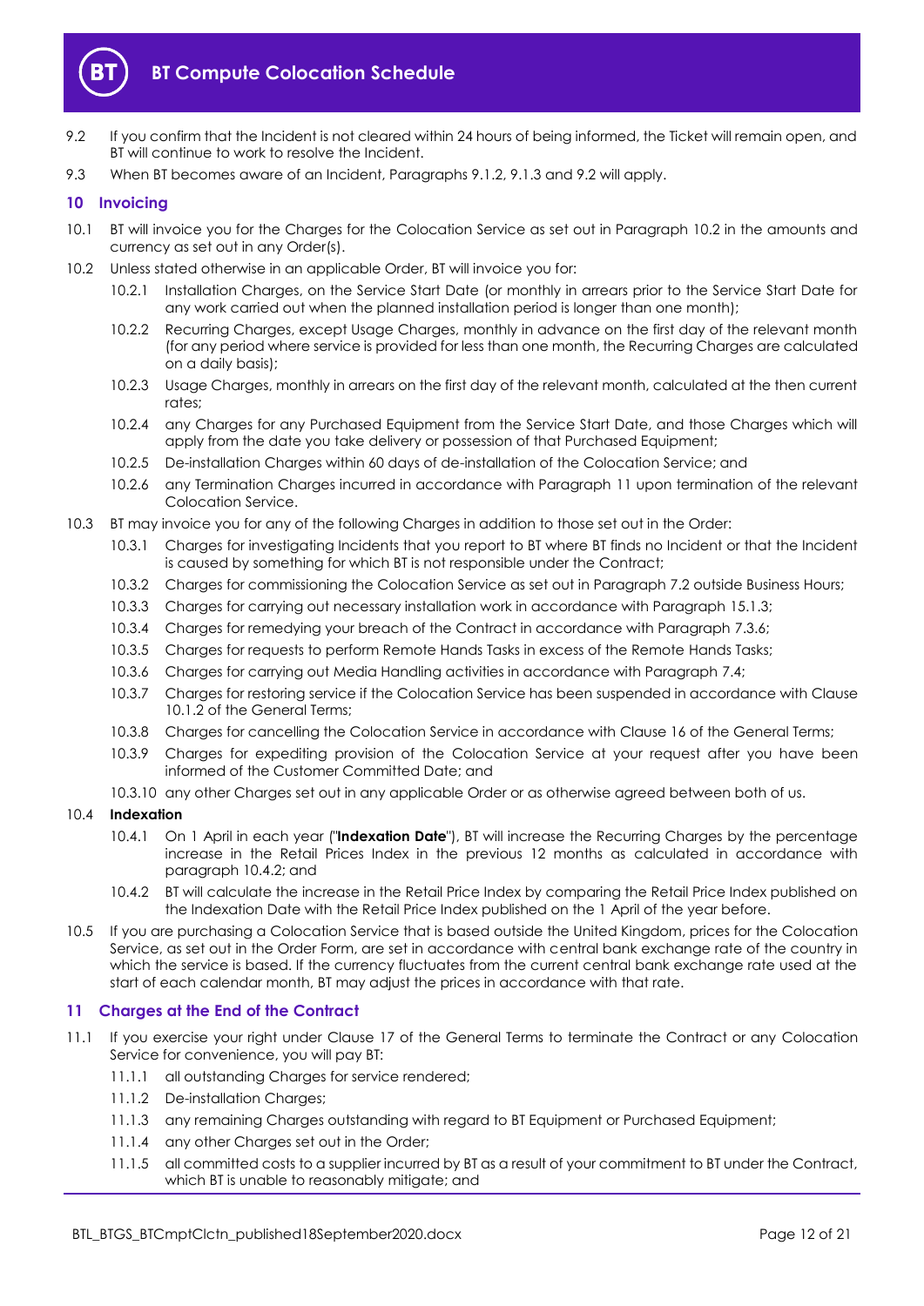

- <span id="page-11-2"></span>9.2 If you confirm that the Incident is not cleared within 24 hours of being informed, the Ticket will remain open, and BT will continue to work to resolve the Incident.
- 9.3 When BT becomes aware of an Incident, Paragraphs [9.1.2,](#page-10-2) [9.1.3](#page-10-3) an[d 9.2](#page-11-2) will apply.

#### <span id="page-11-0"></span>**10 Invoicing**

- 10.1 BT will invoice you for the Charges for the Colocation Service as set out in Paragraph [10.2](#page-11-3) in the amounts and currency as set out in any Order(s).
- <span id="page-11-3"></span>10.2 Unless stated otherwise in an applicable Order, BT will invoice you for:
	- 10.2.1 Installation Charges, on the Service Start Date (or monthly in arrears prior to the Service Start Date for any work carried out when the planned installation period is longer than one month);
	- 10.2.2 Recurring Charges, except Usage Charges, monthly in advance on the first day of the relevant month (for any period where service is provided for less than one month, the Recurring Charges are calculated on a daily basis);
	- 10.2.3 Usage Charges, monthly in arrears on the first day of the relevant month, calculated at the then current rates;
	- 10.2.4 any Charges for any Purchased Equipment from the Service Start Date, and those Charges which will apply from the date you take delivery or possession of that Purchased Equipment;
	- 10.2.5 De-installation Charges within 60 days of de-installation of the Colocation Service; and
	- 10.2.6 any Termination Charges incurred in accordance with Paragraph [11](#page-11-1) upon termination of the relevant Colocation Service.
- 10.3 BT may invoice you for any of the following Charges in addition to those set out in the Order:
	- 10.3.1 Charges for investigating Incidents that you report to BT where BT finds no Incident or that the Incident is caused by something for which BT is not responsible under the Contract;
	- 10.3.2 Charges for commissioning the Colocation Service as set out in Paragraph [7.2](#page-7-2) outside Business Hours;
	- 10.3.3 Charges for carrying out necessary installation work in accordance with Paragraph [15.1.3;](#page-13-2)
	- 10.3.4 Charges for remedying your breach of the Contract in accordance with Paragraph [7.3.6;](#page-7-3)
	- 10.3.5 Charges for requests to perform Remote Hands Tasks in excess of the Remote Hands Tasks;
	- 10.3.6 Charges for carrying out Media Handling activities in accordance with Paragraph [7.4;](#page-7-4)
	- 10.3.7 Charges for restoring service if the Colocation Service has been suspended in accordance with Clause 10.1.2 of the General Terms;
	- 10.3.8 Charges for cancelling the Colocation Service in accordance with Clause 16 of the General Terms;
	- 10.3.9 Charges for expediting provision of the Colocation Service at your request after you have been informed of the Customer Committed Date; and
	- 10.3.10 any other Charges set out in any applicable Order or as otherwise agreed between both of us.
- 10.4 **Indexation**
	- 10.4.1 On 1 April in each year ("**Indexation Date**"), BT will increase the Recurring Charges by the percentage increase in the Retail Prices Index in the previous 12 months as calculated in accordance with paragraph 10.4.2; and
	- 10.4.2 BT will calculate the increase in the Retail Price Index by comparing the Retail Price Index published on the Indexation Date with the Retail Price Index published on the 1 April of the year before.
- 10.5 If you are purchasing a Colocation Service that is based outside the United Kingdom, prices for the Colocation Service, as set out in the Order Form, are set in accordance with central bank exchange rate of the country in which the service is based. If the currency fluctuates from the current central bank exchange rate used at the start of each calendar month, BT may adjust the prices in accordance with that rate.

#### <span id="page-11-1"></span>**11 Charges at the End of the Contract**

- <span id="page-11-4"></span>11.1 If you exercise your right under Clause 17 of the General Terms to terminate the Contract or any Colocation Service for convenience, you will pay BT:
	- 11.1.1 all outstanding Charges for service rendered;
	- 11.1.2 De-installation Charges;
	- 11.1.3 any remaining Charges outstanding with regard to BT Equipment or Purchased Equipment;
	- 11.1.4 any other Charges set out in the Order;
	- 11.1.5 all committed costs to a supplier incurred by BT as a result of your commitment to BT under the Contract, which BT is unable to reasonably mitigate; and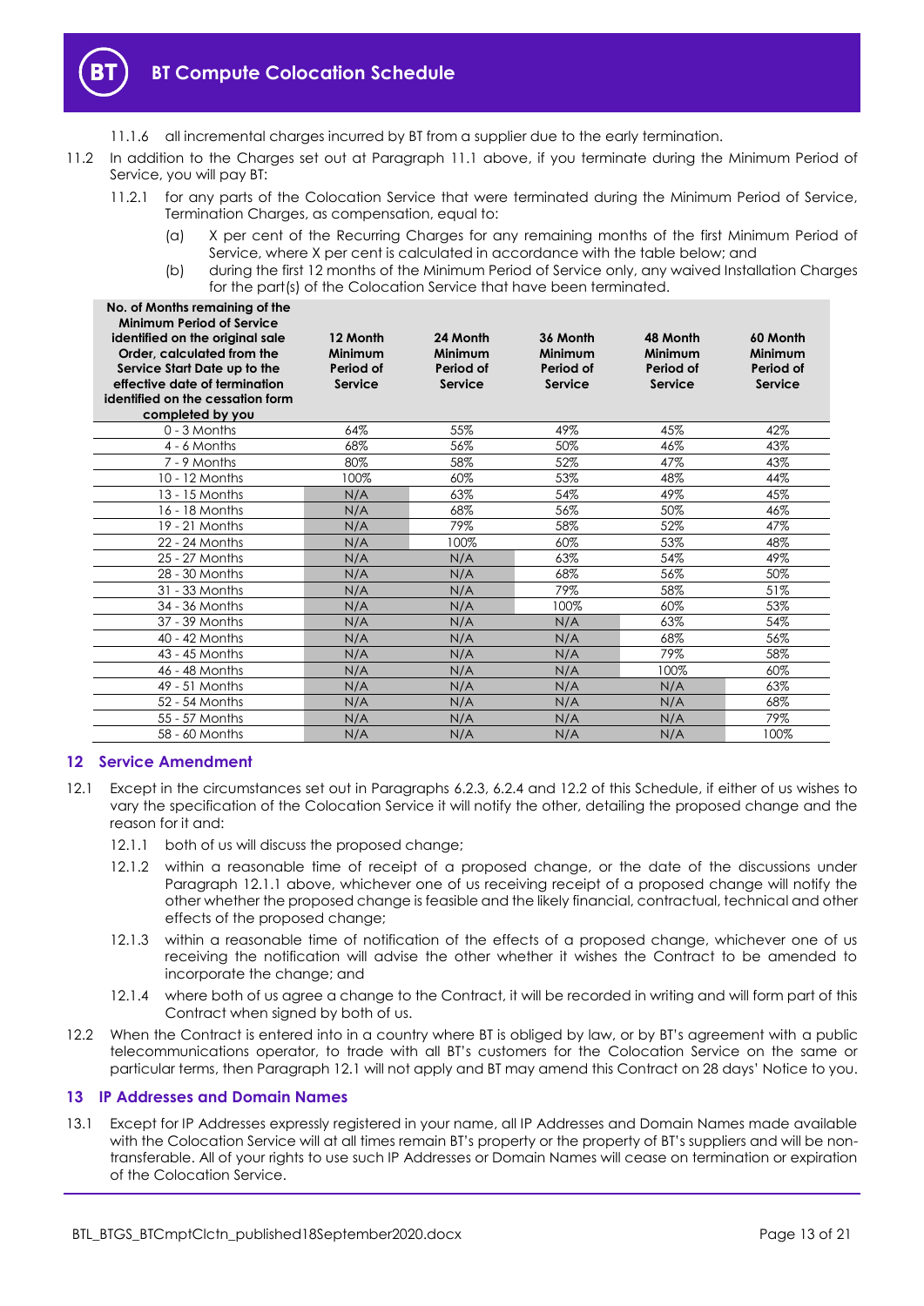

- 11.1.6 all incremental charges incurred by BT from a supplier due to the early termination.
- 11.2 In addition to the Charges set out at Paragraph [11.1](#page-11-4) above, if you terminate during the Minimum Period of Service, you will pay BT:
	- 11.2.1 for any parts of the Colocation Service that were terminated during the Minimum Period of Service, Termination Charges, as compensation, equal to:
		- (a) X per cent of the Recurring Charges for any remaining months of the first Minimum Period of Service, where X per cent is calculated in accordance with the table below; and
		- (b) during the first 12 months of the Minimum Period of Service only, any waived Installation Charges for the part(s) of the Colocation Service that have been terminated.

| No. of Months remaining of the<br><b>Minimum Period of Service</b><br>identified on the original sale<br>Order, calculated from the<br>Service Start Date up to the<br>effective date of termination<br>identified on the cessation form<br>completed by you | 12 Month<br>Minimum<br>Period of<br><b>Service</b> | 24 Month<br>Minimum<br>Period of<br><b>Service</b> | 36 Month<br>Minimum<br>Period of<br>Service | 48 Month<br>Minimum<br>Period of<br><b>Service</b> | 60 Month<br><b>Minimum</b><br>Period of<br>Service |
|--------------------------------------------------------------------------------------------------------------------------------------------------------------------------------------------------------------------------------------------------------------|----------------------------------------------------|----------------------------------------------------|---------------------------------------------|----------------------------------------------------|----------------------------------------------------|
| 0 - 3 Months                                                                                                                                                                                                                                                 | 64%                                                | 55%                                                | 49%                                         | 45%                                                | 42%                                                |
| $4 - 6$ Months                                                                                                                                                                                                                                               | 68%                                                | 56%                                                | 50%                                         | 46%                                                | 43%                                                |
| 7 - 9 Months                                                                                                                                                                                                                                                 | 80%                                                | 58%                                                | 52%                                         | 47%                                                | 43%                                                |
| 10 - 12 Months                                                                                                                                                                                                                                               | 100%                                               | 60%                                                | 53%                                         | 48%                                                | 44%                                                |
| 13 - 15 Months                                                                                                                                                                                                                                               | N/A                                                | 63%                                                | 54%                                         | 49%                                                | 45%                                                |
| 16 - 18 Months                                                                                                                                                                                                                                               | N/A                                                | 68%                                                | 56%                                         | 50%                                                | 46%                                                |
| 19 - 21 Months                                                                                                                                                                                                                                               | N/A                                                | 79%                                                | 58%                                         | 52%                                                | 47%                                                |
| 22 - 24 Months                                                                                                                                                                                                                                               | N/A                                                | 100%                                               | 60%                                         | 53%                                                | 48%                                                |
| 25 - 27 Months                                                                                                                                                                                                                                               | N/A                                                | N/A                                                | 63%                                         | 54%                                                | 49%                                                |
| 28 - 30 Months                                                                                                                                                                                                                                               | N/A                                                | N/A                                                | 68%                                         | 56%                                                | 50%                                                |
| 31 - 33 Months                                                                                                                                                                                                                                               | N/A                                                | N/A                                                | 79%                                         | 58%                                                | 51%                                                |
| 34 - 36 Months                                                                                                                                                                                                                                               | N/A                                                | N/A                                                | 100%                                        | 60%                                                | 53%                                                |
| 37 - 39 Months                                                                                                                                                                                                                                               | N/A                                                | N/A                                                | N/A                                         | 63%                                                | 54%                                                |
| 40 - 42 Months                                                                                                                                                                                                                                               | N/A                                                | N/A                                                | N/A                                         | 68%                                                | 56%                                                |
| 43 - 45 Months                                                                                                                                                                                                                                               | N/A                                                | N/A                                                | N/A                                         | 79%                                                | 58%                                                |
| 46 - 48 Months                                                                                                                                                                                                                                               | N/A                                                | N/A                                                | N/A                                         | 100%                                               | 60%                                                |
| 49 - 51 Months                                                                                                                                                                                                                                               | N/A                                                | N/A                                                | N/A                                         | N/A                                                | 63%                                                |
| 52 - 54 Months                                                                                                                                                                                                                                               | N/A                                                | N/A                                                | N/A                                         | N/A                                                | 68%                                                |
| 55 - 57 Months                                                                                                                                                                                                                                               | N/A                                                | N/A                                                | N/A                                         | N/A                                                | 79%                                                |
| 58 - 60 Months                                                                                                                                                                                                                                               | N/A                                                | N/A                                                | N/A                                         | N/A                                                | 100%                                               |

#### <span id="page-12-0"></span>**12 Service Amendment**

- <span id="page-12-4"></span><span id="page-12-3"></span>12.1 Except in the circumstances set out in Paragraphs [6.2.3,](#page-4-3) [6.2.4](#page-4-4) and [12.2](#page-12-2) of this Schedule, if either of us wishes to vary the specification of the Colocation Service it will notify the other, detailing the proposed change and the reason for it and:
	- 12.1.1 both of us will discuss the proposed change;
	- 12.1.2 within a reasonable time of receipt of a proposed change, or the date of the discussions under Paragraph [12.1.1](#page-12-3) above, whichever one of us receiving receipt of a proposed change will notify the other whether the proposed change is feasible and the likely financial, contractual, technical and other effects of the proposed change;
	- 12.1.3 within a reasonable time of notification of the effects of a proposed change, whichever one of us receiving the notification will advise the other whether it wishes the Contract to be amended to incorporate the change; and
	- 12.1.4 where both of us agree a change to the Contract, it will be recorded in writing and will form part of this Contract when signed by both of us.
- <span id="page-12-2"></span>12.2 When the Contract is entered into in a country where BT is obliged by law, or by BT's agreement with a public telecommunications operator, to trade with all BT's customers for the Colocation Service on the same or particular terms, then Paragrap[h 12.1](#page-12-4) will not apply and BT may amend this Contract on 28 days' Notice to you.

#### <span id="page-12-1"></span>**13 IP Addresses and Domain Names**

13.1 Except for IP Addresses expressly registered in your name, all IP Addresses and Domain Names made available with the Colocation Service will at all times remain BT's property or the property of BT's suppliers and will be nontransferable. All of your rights to use such IP Addresses or Domain Names will cease on termination or expiration of the Colocation Service.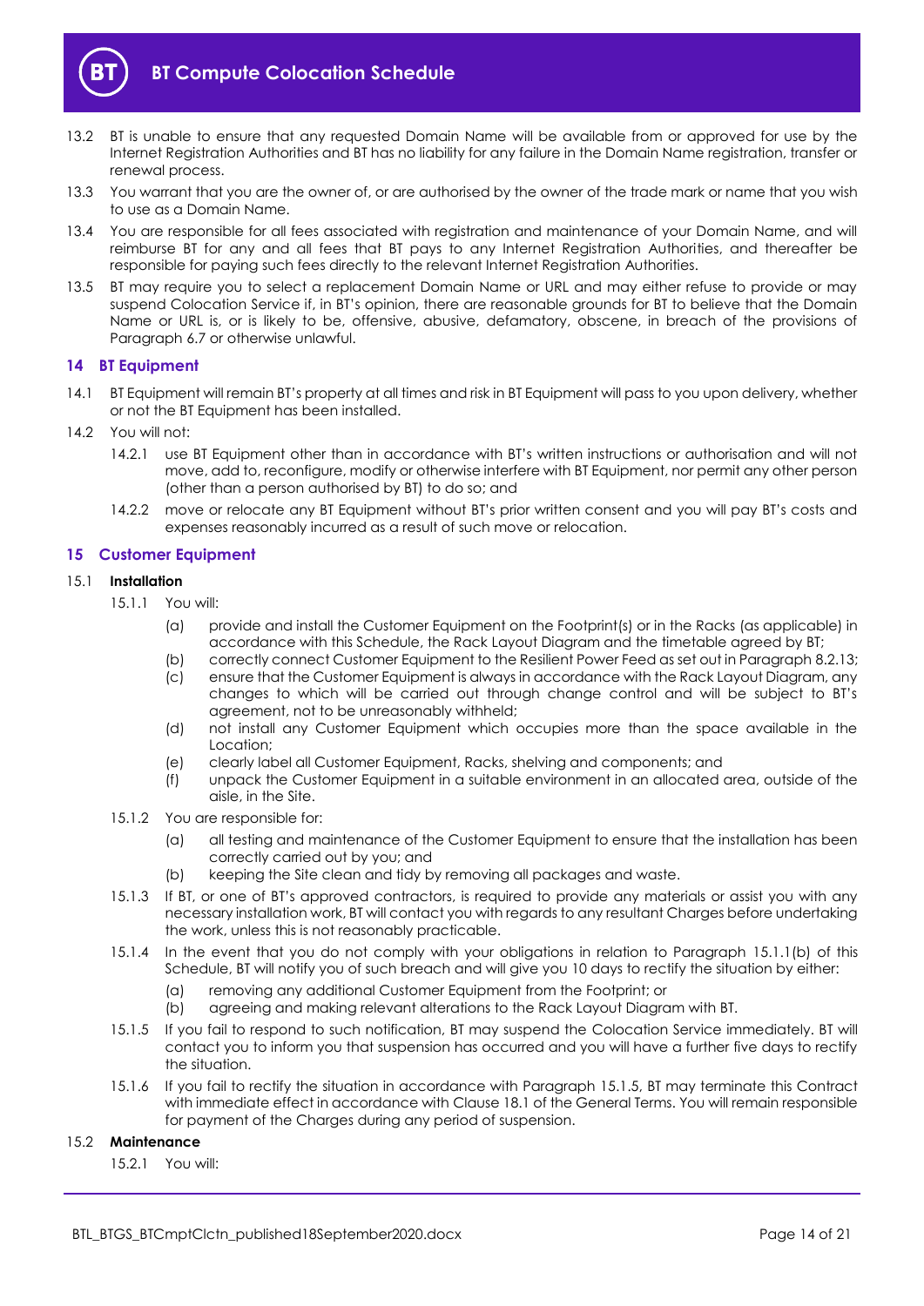

- 13.2 BT is unable to ensure that any requested Domain Name will be available from or approved for use by the Internet Registration Authorities and BT has no liability for any failure in the Domain Name registration, transfer or renewal process.
- 13.3 You warrant that you are the owner of, or are authorised by the owner of the trade mark or name that you wish to use as a Domain Name.
- 13.4 You are responsible for all fees associated with registration and maintenance of your Domain Name, and will reimburse BT for any and all fees that BT pays to any Internet Registration Authorities, and thereafter be responsible for paying such fees directly to the relevant Internet Registration Authorities.
- 13.5 BT may require you to select a replacement Domain Name or URL and may either refuse to provide or may suspend Colocation Service if, in BT's opinion, there are reasonable grounds for BT to believe that the Domain Name or URL is, or is likely to be, offensive, abusive, defamatory, obscene, in breach of the provisions of Paragraph [6.7](#page-5-1) or otherwise unlawful.

#### <span id="page-13-0"></span>**14 BT Equipment**

- 14.1 BT Equipment will remain BT's property at all times and risk in BT Equipment will pass to you upon delivery, whether or not the BT Equipment has been installed.
- 14.2 You will not:
	- 14.2.1 use BT Equipment other than in accordance with BT's written instructions or authorisation and will not move, add to, reconfigure, modify or otherwise interfere with BT Equipment, nor permit any other person (other than a person authorised by BT) to do so; and
	- 14.2.2 move or relocate any BT Equipment without BT's prior written consent and you will pay BT's costs and expenses reasonably incurred as a result of such move or relocation.

#### <span id="page-13-1"></span>**15 Customer Equipment**

#### 15.1 **Installation**

- <span id="page-13-3"></span>15.1.1 You will:
	- (a) provide and install the Customer Equipment on the Footprint(s) or in the Racks (as applicable) in accordance with this Schedule, the Rack Layout Diagram and the timetable agreed by BT;
	- (b) correctly connect Customer Equipment to the Resilient Power Feed as set out in Paragrap[h 8.2.13;](#page-10-4)
	- (c) ensure that the Customer Equipment is always in accordance with the Rack Layout Diagram, any changes to which will be carried out through change control and will be subject to BT's agreement, not to be unreasonably withheld;
	- (d) not install any Customer Equipment which occupies more than the space available in the Location;
	- (e) clearly label all Customer Equipment, Racks, shelving and components; and
	- (f) unpack the Customer Equipment in a suitable environment in an allocated area, outside of the aisle, in the Site.
- 15.1.2 You are responsible for:
	- (a) all testing and maintenance of the Customer Equipment to ensure that the installation has been correctly carried out by you; and
	- (b) keeping the Site clean and tidy by removing all packages and waste.
- <span id="page-13-2"></span>15.1.3 If BT, or one of BT's approved contractors, is required to provide any materials or assist you with any necessary installation work, BT will contact you with regards to any resultant Charges before undertaking the work, unless this is not reasonably practicable.
- 15.1.4 In the event that you do not comply with your obligations in relation to Paragraph [15.1.1\(b\)](#page-13-3) of this Schedule, BT will notify you of such breach and will give you 10 days to rectify the situation by either:
	- (a) removing any additional Customer Equipment from the Footprint; or
	- (b) agreeing and making relevant alterations to the Rack Layout Diagram with BT.
- <span id="page-13-4"></span>15.1.5 If you fail to respond to such notification, BT may suspend the Colocation Service immediately. BT will contact you to inform you that suspension has occurred and you will have a further five days to rectify the situation.
- 15.1.6 If you fail to rectify the situation in accordance with Paragraph [15.1.5,](#page-13-4) BT may terminate this Contract with immediate effect in accordance with Clause 18.1 of the General Terms. You will remain responsible for payment of the Charges during any period of suspension.

#### 15.2 **Maintenance**

15.2.1 You will: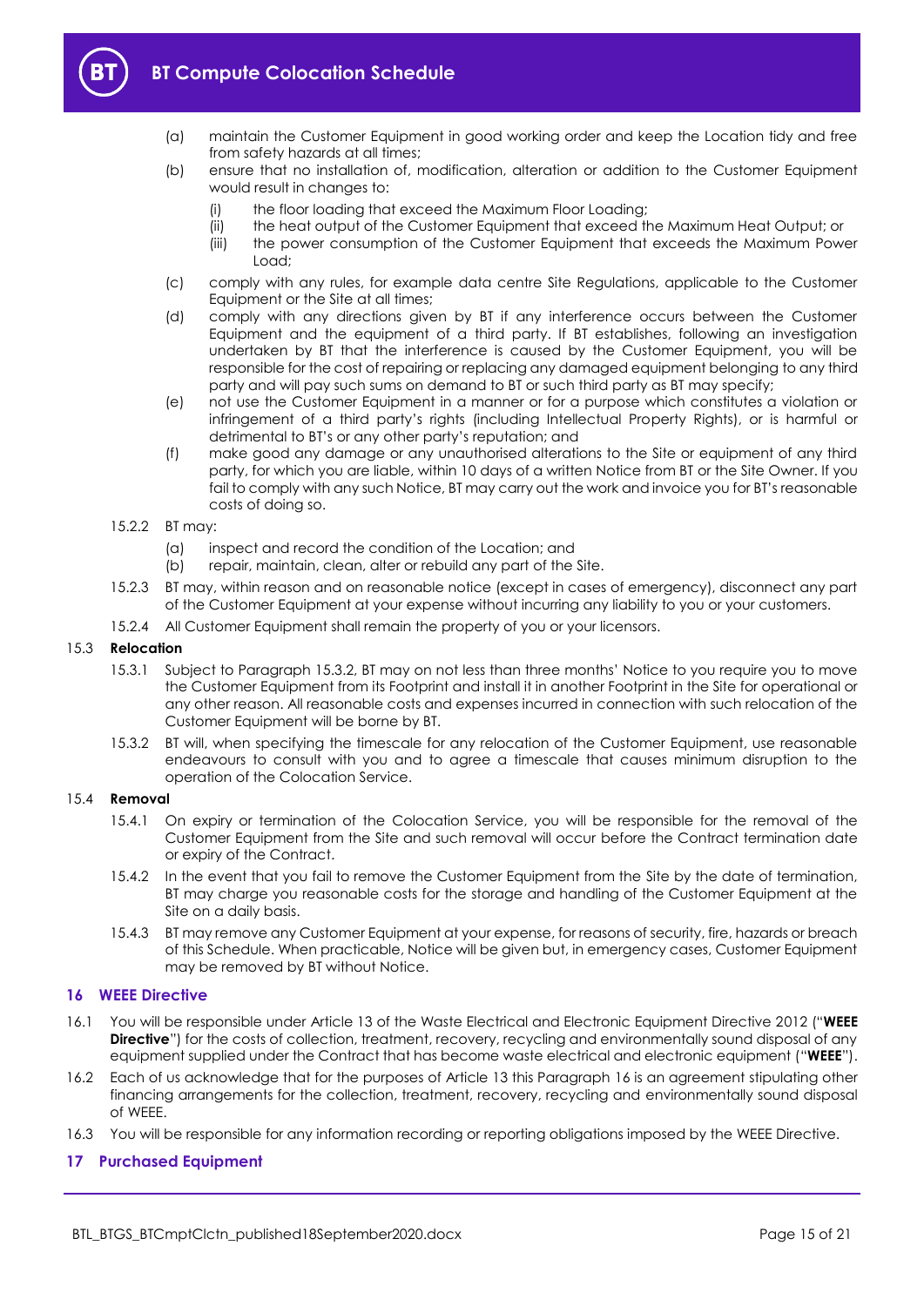

- (a) maintain the Customer Equipment in good working order and keep the Location tidy and free from safety hazards at all times;
- (b) ensure that no installation of, modification, alteration or addition to the Customer Equipment would result in changes to:
	- (i) the floor loading that exceed the Maximum Floor Loading;
	- (ii) the heat output of the Customer Equipment that exceed the Maximum Heat Output; or
	- (iii) the power consumption of the Customer Equipment that exceeds the Maximum Power Load;
- (c) comply with any rules, for example data centre Site Regulations, applicable to the Customer Equipment or the Site at all times;
- (d) comply with any directions given by BT if any interference occurs between the Customer Equipment and the equipment of a third party. If BT establishes, following an investigation undertaken by BT that the interference is caused by the Customer Equipment, you will be responsible for the cost of repairing or replacing any damaged equipment belonging to any third party and will pay such sums on demand to BT or such third party as BT may specify;
- (e) not use the Customer Equipment in a manner or for a purpose which constitutes a violation or infringement of a third party's rights (including Intellectual Property Rights), or is harmful or detrimental to BT's or any other party's reputation; and
- (f) make good any damage or any unauthorised alterations to the Site or equipment of any third party, for which you are liable, within 10 days of a written Notice from BT or the Site Owner. If you fail to comply with any such Notice, BT may carry out the work and invoice you for BT's reasonable costs of doing so.
- 15.2.2 BT may:
	- (a) inspect and record the condition of the Location; and
	- (b) repair, maintain, clean, alter or rebuild any part of the Site.
- 15.2.3 BT may, within reason and on reasonable notice (except in cases of emergency), disconnect any part of the Customer Equipment at your expense without incurring any liability to you or your customers.
- 15.2.4 All Customer Equipment shall remain the property of you or your licensors.

#### 15.3 **Relocation**

- 15.3.1 Subject to Paragraph [15.3.2](#page-14-3), BT may on not less than three months' Notice to you require you to move the Customer Equipment from its Footprint and install it in another Footprint in the Site for operational or any other reason. All reasonable costs and expenses incurred in connection with such relocation of the Customer Equipment will be borne by BT.
- <span id="page-14-3"></span>15.3.2 BT will, when specifying the timescale for any relocation of the Customer Equipment, use reasonable endeavours to consult with you and to agree a timescale that causes minimum disruption to the operation of the Colocation Service.

#### <span id="page-14-2"></span>15.4 **Removal**

- 15.4.1 On expiry or termination of the Colocation Service, you will be responsible for the removal of the Customer Equipment from the Site and such removal will occur before the Contract termination date or expiry of the Contract.
- 15.4.2 In the event that you fail to remove the Customer Equipment from the Site by the date of termination, BT may charge you reasonable costs for the storage and handling of the Customer Equipment at the Site on a daily basis.
- 15.4.3 BT may remove any Customer Equipment at your expense, for reasons of security, fire, hazards or breach of this Schedule. When practicable, Notice will be given but, in emergency cases, Customer Equipment may be removed by BT without Notice.

#### <span id="page-14-0"></span>**16 WEEE Directive**

- <span id="page-14-4"></span>16.1 You will be responsible under Article 13 of the Waste Electrical and Electronic Equipment Directive 2012 ("**WEEE Directive**") for the costs of collection, treatment, recovery, recycling and environmentally sound disposal of any equipment supplied under the Contract that has become waste electrical and electronic equipment ("**WEEE**").
- 16.2 Each of us acknowledge that for the purposes of Article 13 this Paragraph [16](#page-14-0) is an agreement stipulating other financing arrangements for the collection, treatment, recovery, recycling and environmentally sound disposal of WEEE.
- 16.3 You will be responsible for any information recording or reporting obligations imposed by the WEEE Directive.

#### <span id="page-14-1"></span>**17 Purchased Equipment**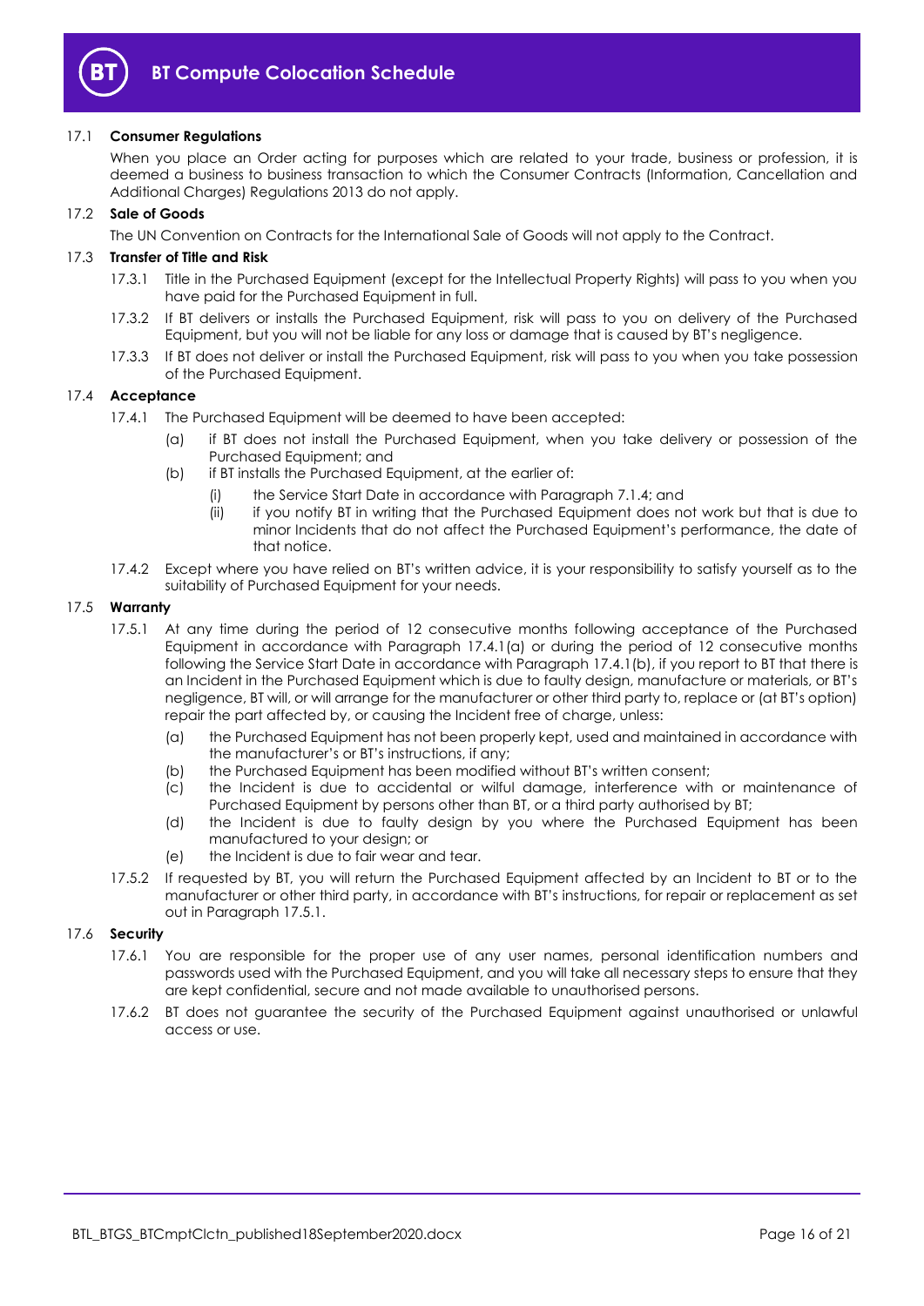

#### 17.1 **Consumer Regulations**

When you place an Order acting for purposes which are related to your trade, business or profession, it is deemed a business to business transaction to which the Consumer Contracts (Information, Cancellation and Additional Charges) Regulations 2013 do not apply.

#### 17.2 **Sale of Goods**

The UN Convention on Contracts for the International Sale of Goods will not apply to the Contract.

#### <span id="page-15-0"></span>17.3 **Transfer of Title and Risk**

- 17.3.1 Title in the Purchased Equipment (except for the Intellectual Property Rights) will pass to you when you have paid for the Purchased Equipment in full.
- 17.3.2 If BT delivers or installs the Purchased Equipment, risk will pass to you on delivery of the Purchased Equipment, but you will not be liable for any loss or damage that is caused by BT's negligence.
- 17.3.3 If BT does not deliver or install the Purchased Equipment, risk will pass to you when you take possession of the Purchased Equipment.

#### <span id="page-15-1"></span>17.4 **Acceptance**

- <span id="page-15-2"></span>17.4.1 The Purchased Equipment will be deemed to have been accepted:
	- (a) if BT does not install the Purchased Equipment, when you take delivery or possession of the Purchased Equipment; and
	- (b) if BT installs the Purchased Equipment, at the earlier of:
		- (i) the Service Start Date in accordance with Paragraph [7.1.4;](#page-7-5) and
		- (ii) if you notify BT in writing that the Purchased Equipment does not work but that is due to minor Incidents that do not affect the Purchased Equipment's performance, the date of that notice.
- 17.4.2 Except where you have relied on BT's written advice, it is your responsibility to satisfy yourself as to the suitability of Purchased Equipment for your needs.

#### <span id="page-15-3"></span>17.5 **Warranty**

- 17.5.1 At any time during the period of 12 consecutive months following acceptance of the Purchased Equipment in accordance with Paragraph [17.4.1\(a\)](#page-15-1) or during the period of 12 consecutive months following the Service Start Date in accordance with Paragraph [17.4.1\(b\),](#page-15-2) if you report to BT that there is an Incident in the Purchased Equipment which is due to faulty design, manufacture or materials, or BT's negligence, BT will, or will arrange for the manufacturer or other third party to, replace or (at BT's option) repair the part affected by, or causing the Incident free of charge, unless:
	- (a) the Purchased Equipment has not been properly kept, used and maintained in accordance with the manufacturer's or BT's instructions, if any;
	- (b) the Purchased Equipment has been modified without BT's written consent;
	- (c) the Incident is due to accidental or wilful damage, interference with or maintenance of Purchased Equipment by persons other than BT, or a third party authorised by BT;
	- (d) the Incident is due to faulty design by you where the Purchased Equipment has been manufactured to your design; or
	- (e) the Incident is due to fair wear and tear.
- 17.5.2 If requested by BT, you will return the Purchased Equipment affected by an Incident to BT or to the manufacturer or other third party, in accordance with BT's instructions, for repair or replacement as set out in Paragraph [17.5.1.](#page-15-3)

#### 17.6 **Security**

- 17.6.1 You are responsible for the proper use of any user names, personal identification numbers and passwords used with the Purchased Equipment, and you will take all necessary steps to ensure that they are kept confidential, secure and not made available to unauthorised persons.
- 17.6.2 BT does not guarantee the security of the Purchased Equipment against unauthorised or unlawful access or use.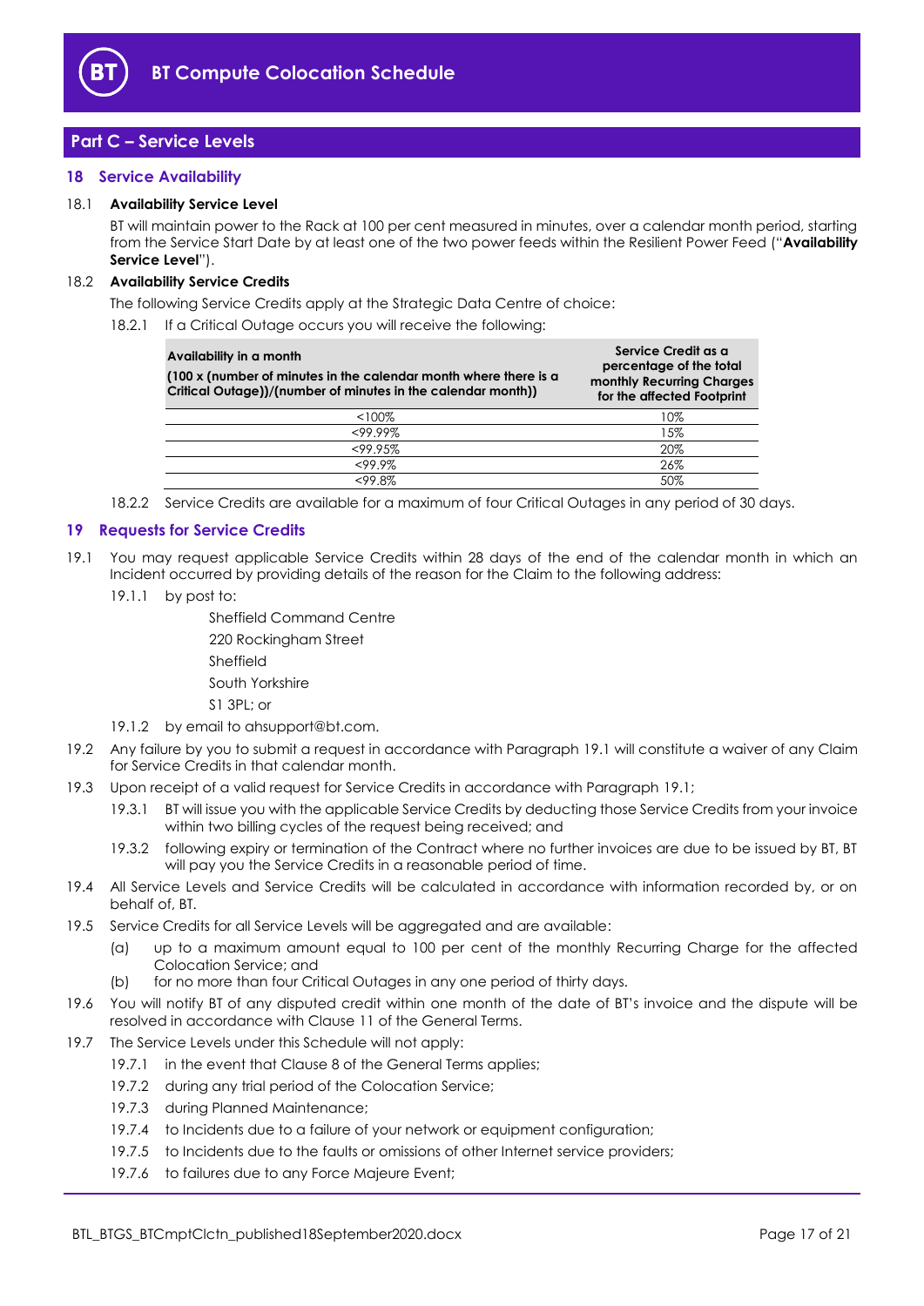

## <span id="page-16-0"></span>**Part C – Service Levels**

#### <span id="page-16-1"></span>**18 Service Availability**

#### <span id="page-16-4"></span>18.1 **Availability Service Level**

BT will maintain power to the Rack at 100 per cent measured in minutes, over a calendar month period, starting from the Service Start Date by at least one of the two power feeds within the Resilient Power Feed ("**Availability Service Level**").

#### 18.2 **Availability Service Credits**

The following Service Credits apply at the Strategic Data Centre of choice:

18.2.1 If a Critical Outage occurs you will receive the following:

| Availability in a month<br>(100 x (number of minutes in the calendar month where there is a<br>Critical Outage))/(number of minutes in the calendar month)) | Service Credit as a<br>percentage of the total<br>monthly Recurring Charges<br>for the affected Footprint |
|-------------------------------------------------------------------------------------------------------------------------------------------------------------|-----------------------------------------------------------------------------------------------------------|
| $<100\%$                                                                                                                                                    | 10%                                                                                                       |
| $<99.99\%$                                                                                                                                                  | 15%                                                                                                       |
| <99.95%                                                                                                                                                     | 20%                                                                                                       |
| <99.9%                                                                                                                                                      | 26%                                                                                                       |
| <99.8%                                                                                                                                                      | 50%                                                                                                       |

18.2.2 Service Credits are available for a maximum of four Critical Outages in any period of 30 days.

#### <span id="page-16-2"></span>**19 Requests for Service Credits**

- <span id="page-16-3"></span>19.1 You may request applicable Service Credits within 28 days of the end of the calendar month in which an Incident occurred by providing details of the reason for the Claim to the following address:
	- 19.1.1 by post to:

Sheffield Command Centre 220 Rockingham Street Sheffield South Yorkshire S1 3PL; or

- 19.1.2 by email to ahsupport@bt.com.
- 19.2 Any failure by you to submit a request in accordance with Paragraph [19.1](#page-16-3) will constitute a waiver of any Claim for Service Credits in that calendar month.
- 19.3 Upon receipt of a valid request for Service Credits in accordance with Paragraph [19.1;](#page-16-3)
	- 19.3.1 BT will issue you with the applicable Service Credits by deducting those Service Credits from your invoice within two billing cycles of the request being received; and
	- 19.3.2 following expiry or termination of the Contract where no further invoices are due to be issued by BT, BT will pay you the Service Credits in a reasonable period of time.
- 19.4 All Service Levels and Service Credits will be calculated in accordance with information recorded by, or on behalf of, BT.
- 19.5 Service Credits for all Service Levels will be aggregated and are available:
	- (a) up to a maximum amount equal to 100 per cent of the monthly Recurring Charge for the affected Colocation Service; and
	- (b) for no more than four Critical Outages in any one period of thirty days.
- 19.6 You will notify BT of any disputed credit within one month of the date of BT's invoice and the dispute will be resolved in accordance with Clause 11 of the General Terms.
- 19.7 The Service Levels under this Schedule will not apply:
	- 19.7.1 in the event that Clause 8 of the General Terms applies;
	- 19.7.2 during any trial period of the Colocation Service;
	- 19.7.3 during Planned Maintenance;
	- 19.7.4 to Incidents due to a failure of your network or equipment configuration;
	- 19.7.5 to Incidents due to the faults or omissions of other Internet service providers;
	- 19.7.6 to failures due to any Force Majeure Event;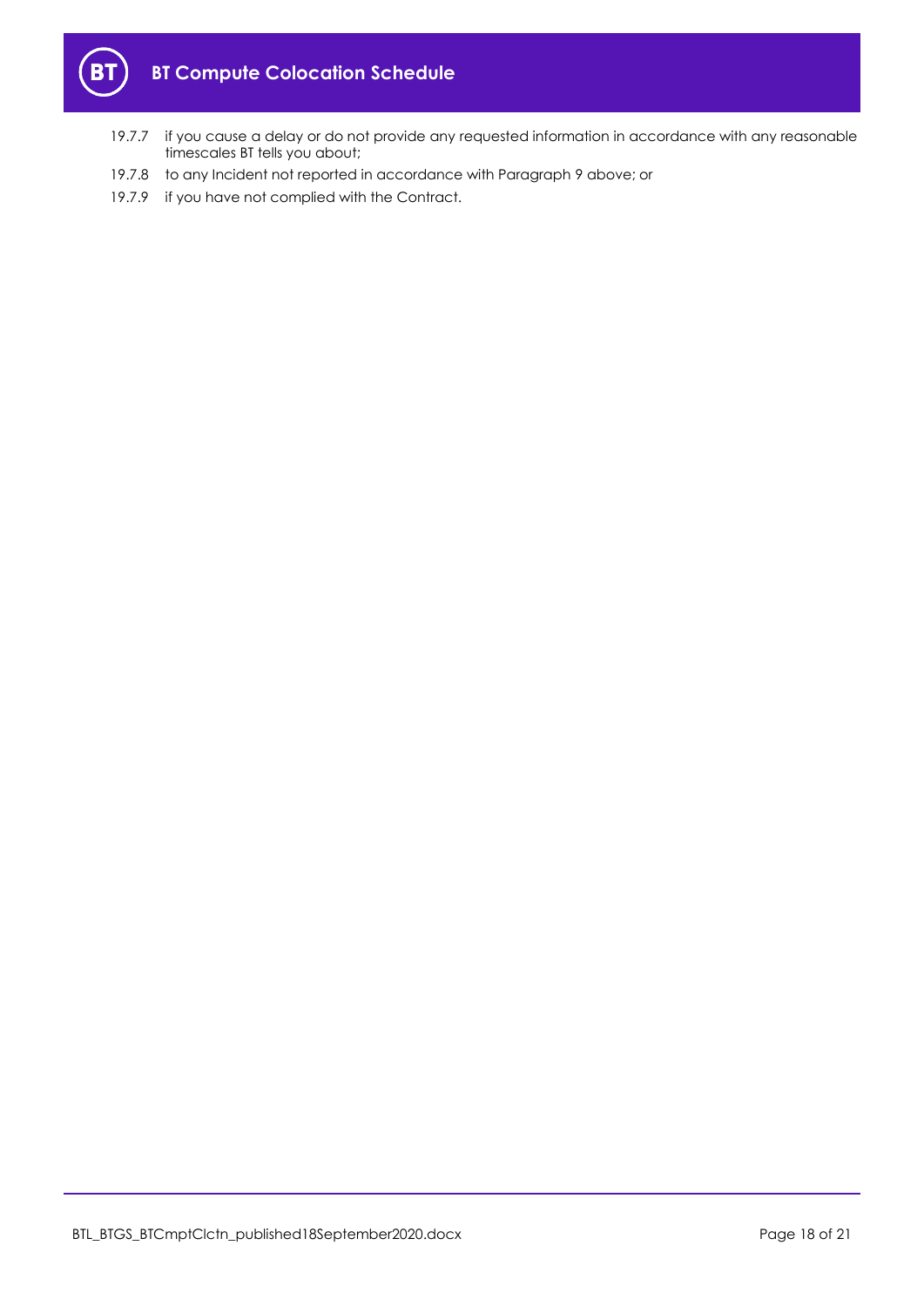

- 19.7.7 if you cause a delay or do not provide any requested information in accordance with any reasonable timescales BT tells you about;
- 19.7.8 to any Incident not reported in accordance with Paragraph [9](#page-10-0) above; or
- 19.7.9 if you have not complied with the Contract.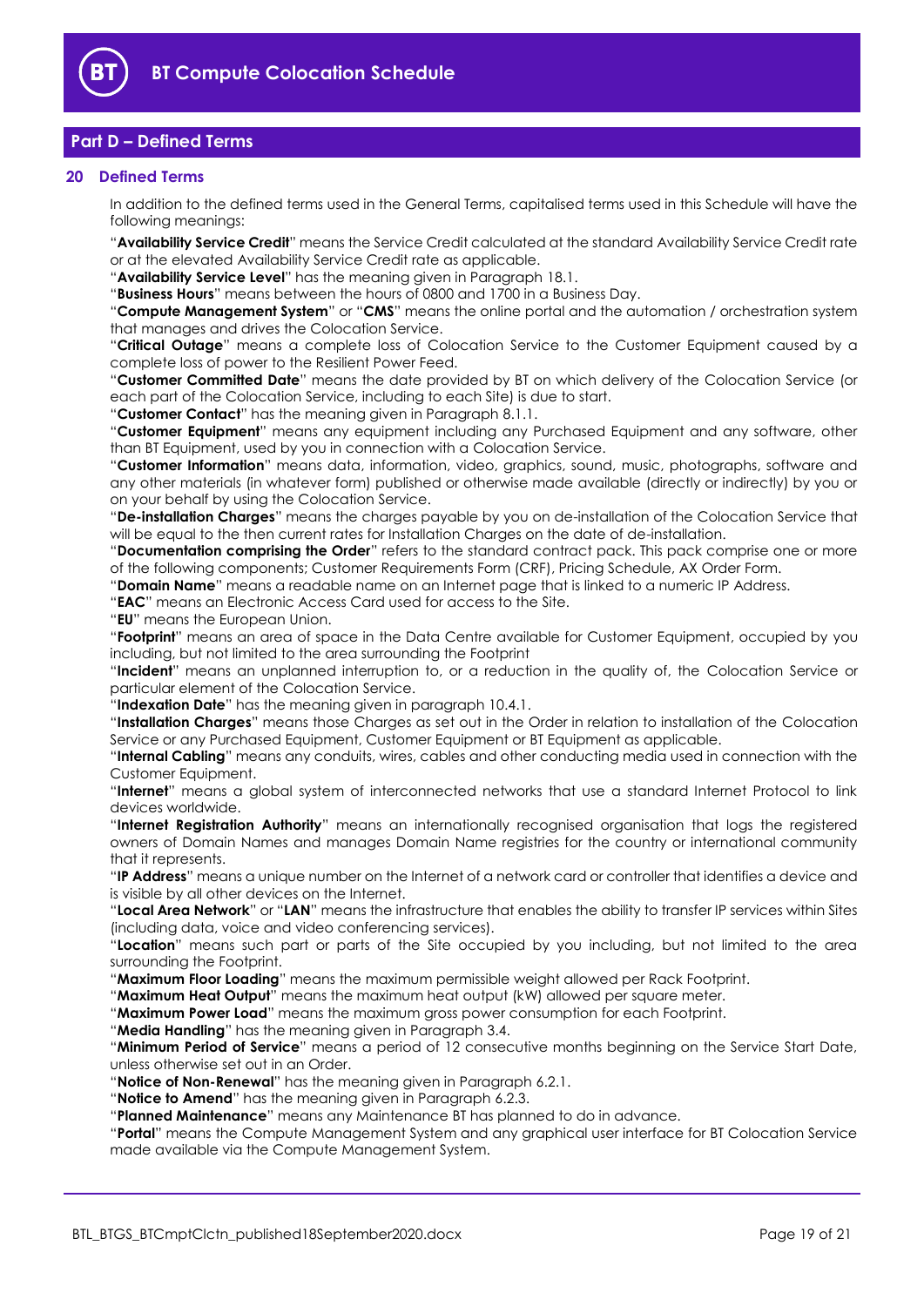

## <span id="page-18-0"></span>**Part D – Defined Terms**

#### <span id="page-18-1"></span>**20 Defined Terms**

In addition to the defined terms used in the General Terms, capitalised terms used in this Schedule will have the following meanings:

"**Availability Service Credit**" means the Service Credit calculated at the standard Availability Service Credit rate or at the elevated Availability Service Credit rate as applicable.

"**Availability Service Level**" has the meaning given in Paragraph [18.1.](#page-16-4)

"**Business Hours**" means between the hours of 0800 and 1700 in a Business Day.

"**Compute Management System**" or "**CMS**" means the online portal and the automation / orchestration system that manages and drives the Colocation Service.

"**Critical Outage**" means a complete loss of Colocation Service to the Customer Equipment caused by a complete loss of power to the Resilient Power Feed.

"**Customer Committed Date**" means the date provided by BT on which delivery of the Colocation Service (or each part of the Colocation Service, including to each Site) is due to start.

"**Customer Contact**" has the meaning given in Paragraph [8.1.1.](#page-8-1)

"**Customer Equipment**" means any equipment including any Purchased Equipment and any software, other than BT Equipment, used by you in connection with a Colocation Service.

"**Customer Information**" means data, information, video, graphics, sound, music, photographs, software and any other materials (in whatever form) published or otherwise made available (directly or indirectly) by you or on your behalf by using the Colocation Service.

"**De-installation Charges**" means the charges payable by you on de-installation of the Colocation Service that will be equal to the then current rates for Installation Charges on the date of de-installation.

"**Documentation comprising the Order**" refers to the standard contract pack. This pack comprise one or more of the following components; Customer Requirements Form (CRF), Pricing Schedule, AX Order Form.

"**Domain Name**" means a readable name on an Internet page that is linked to a numeric IP Address.

"**EAC**" means an Electronic Access Card used for access to the Site.

"**EU**" means the European Union.

"**Footprint**" means an area of space in the Data Centre available for Customer Equipment, occupied by you including, but not limited to the area surrounding the Footprint

"**Incident**" means an unplanned interruption to, or a reduction in the quality of, the Colocation Service or particular element of the Colocation Service.

"**Indexation Date**" has the meaning given in paragraph 10.4.1.

"**Installation Charges**" means those Charges as set out in the Order in relation to installation of the Colocation Service or any Purchased Equipment, Customer Equipment or BT Equipment as applicable.

"**Internal Cabling**" means any conduits, wires, cables and other conducting media used in connection with the Customer Equipment.

"**Internet**" means a global system of interconnected networks that use a standard Internet Protocol to link devices worldwide.

"**Internet Registration Authority**" means an internationally recognised organisation that logs the registered owners of Domain Names and manages Domain Name registries for the country or international community that it represents.

"**IP Address**" means a unique number on the Internet of a network card or controller that identifies a device and is visible by all other devices on the Internet.

"**Local Area Network**" or "**LAN**" means the infrastructure that enables the ability to transfer IP services within Sites (including data, voice and video conferencing services).

"**Location**" means such part or parts of the Site occupied by you including, but not limited to the area surrounding the Footprint.

"**Maximum Floor Loading**" means the maximum permissible weight allowed per Rack Footprint.

"**Maximum Heat Output**" means the maximum heat output (kW) allowed per square meter.

"**Maximum Power Load**" means the maximum gross power consumption for each Footprint.

"**Media Handling**" has the meaning given in Paragraph 3.4.

"**Minimum Period of Service**" means a period of 12 consecutive months beginning on the Service Start Date, unless otherwise set out in an Order.

"**Notice of Non-Renewal**" has the meaning given in Paragraph [6.2.1.](#page-4-5)

"**Notice to Amend**" has the meaning given in Paragraph [6.2.3.](#page-4-3)

"**Planned Maintenance**" means any Maintenance BT has planned to do in advance.

"**Portal**" means the Compute Management System and any graphical user interface for BT Colocation Service made available via the Compute Management System.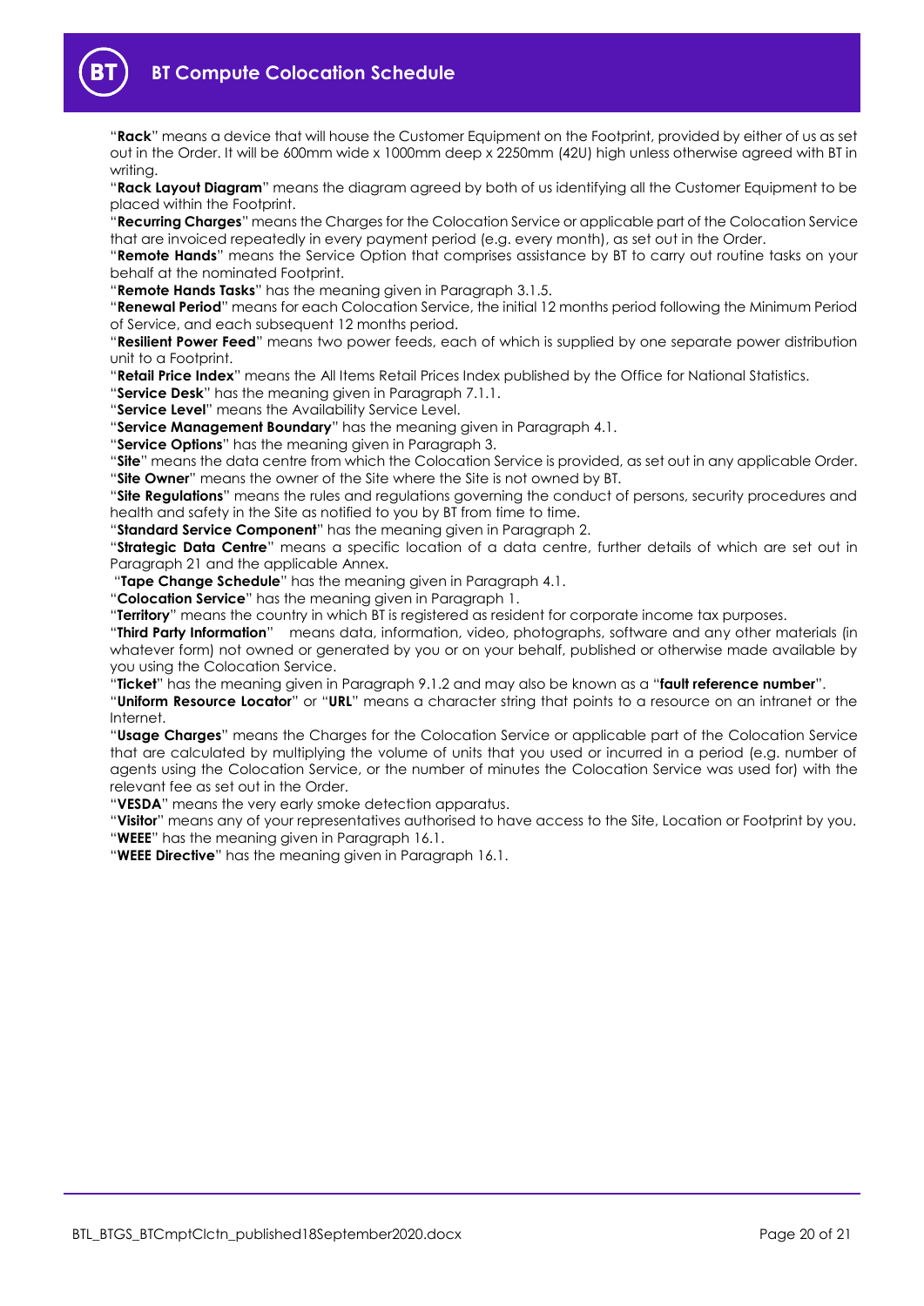**BT Compute Colocation Schedule**

"**Rack**" means a device that will house the Customer Equipment on the Footprint, provided by either of us as set out in the Order. It will be 600mm wide x 1000mm deep x 2250mm (42U) high unless otherwise agreed with BT in writing.

"**Rack Layout Diagram**" means the diagram agreed by both of us identifying all the Customer Equipment to be placed within the Footprint.

"**Recurring Charges**" means the Charges for the Colocation Service or applicable part of the Colocation Service that are invoiced repeatedly in every payment period (e.g. every month), as set out in the Order.

"**Remote Hands**" means the Service Option that comprises assistance by BT to carry out routine tasks on your behalf at the nominated Footprint.

"**Remote Hands Tasks**" has the meaning given in Paragraph 3.1.5.

"**Renewal Period**" means for each Colocation Service, the initial 12 months period following the Minimum Period of Service, and each subsequent 12 months period.

"**Resilient Power Feed**" means two power feeds, each of which is supplied by one separate power distribution unit to a Footprint.

"**Retail Price Index**" means the All Items Retail Prices Index published by the Office for National Statistics.

"**Service Desk**" has the meaning given in Paragraph [7.1.1.](#page-7-6)

"**Service Level**" means the Availability Service Level.

"**Service Management Boundary**" has the meaning given in Paragrap[h 4.1.](#page-3-2)

"**Service Options**" has the meaning given in Paragraph [3.](#page-2-0) 

"**Site**" means the data centre from which the Colocation Service is provided, as set out in any applicable Order. "**Site Owner**" means the owner of the Site where the Site is not owned by BT.

"**Site Regulations**" means the rules and regulations governing the conduct of persons, security procedures and health and safety in the Site as notified to you by BT from time to time.

"**Standard Service Component**" has the meaning given in Paragraph [2.](#page-1-4)

"**Strategic Data Centre**" means a specific location of a data centre, further details of which are set out in Paragraph 21 and the applicable Annex.

"**Tape Change Schedule**" has the meaning given in Paragrap[h 4.1.](#page-3-2)

"**Colocation Service**" has the meaning given in Paragraph [1.](#page-1-3)

"**Territory**" means the country in which BT is registered as resident for corporate income tax purposes.

"**Third Party Information**" means data, information, video, photographs, software and any other materials (in whatever form) not owned or generated by you or on your behalf, published or otherwise made available by you using the Colocation Service.

"**Ticket**" has the meaning given in Paragrap[h 9.1.2](#page-10-2) and may also be known as a "**fault reference number**".

"**Uniform Resource Locator**" or "**URL**" means a character string that points to a resource on an intranet or the Internet.

"**Usage Charges**" means the Charges for the Colocation Service or applicable part of the Colocation Service that are calculated by multiplying the volume of units that you used or incurred in a period (e.g. number of agents using the Colocation Service, or the number of minutes the Colocation Service was used for) with the relevant fee as set out in the Order.

"**VESDA**" means the very early smoke detection apparatus.

"**Visitor**" means any of your representatives authorised to have access to the Site, Location or Footprint by you. "**WEEE**" has the meaning given in Paragrap[h 16.1.](#page-14-4)

"**WEEE Directive**" has the meaning given in Paragrap[h 16.1.](#page-14-4)